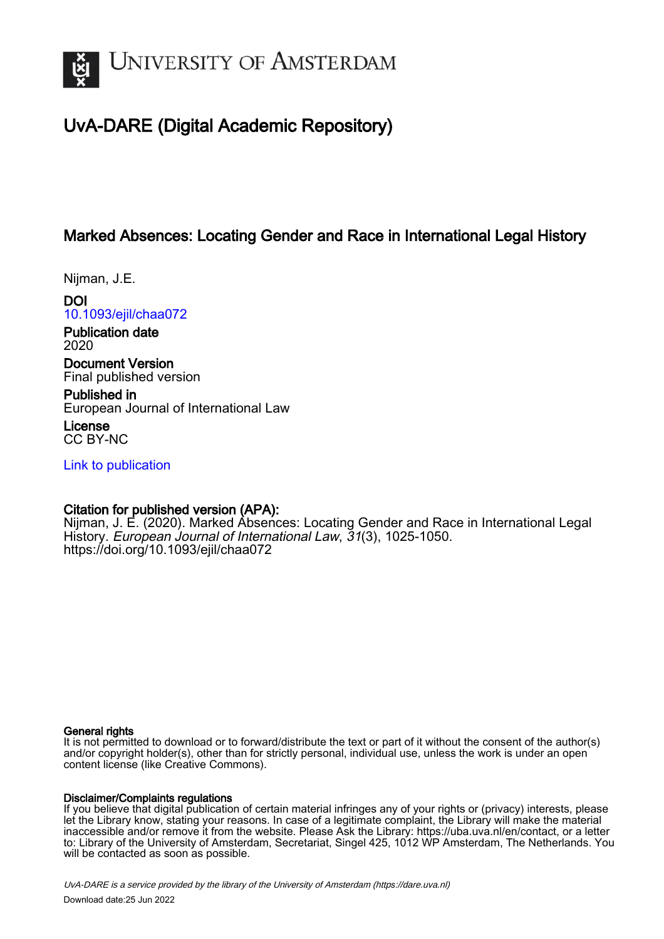

# UvA-DARE (Digital Academic Repository)

# Marked Absences: Locating Gender and Race in International Legal History

Nijman, J.E.

DOI [10.1093/ejil/chaa072](https://doi.org/10.1093/ejil/chaa072)

Publication date 2020

Document Version Final published version

Published in European Journal of International Law

License CC BY-NC

[Link to publication](https://dare.uva.nl/personal/pure/en/publications/marked-absences-locating-gender-and-race-in-international-legal-history(8bc33588-455f-4aaa-a7d3-00edc6b4fad9).html)

# Citation for published version (APA):

Nijman, J. E. (2020). Marked Absences: Locating Gender and Race in International Legal History. European Journal of International Law, 31(3), 1025-1050. <https://doi.org/10.1093/ejil/chaa072>

#### General rights

It is not permitted to download or to forward/distribute the text or part of it without the consent of the author(s) and/or copyright holder(s), other than for strictly personal, individual use, unless the work is under an open content license (like Creative Commons).

#### Disclaimer/Complaints regulations

If you believe that digital publication of certain material infringes any of your rights or (privacy) interests, please let the Library know, stating your reasons. In case of a legitimate complaint, the Library will make the material inaccessible and/or remove it from the website. Please Ask the Library: https://uba.uva.nl/en/contact, or a letter to: Library of the University of Amsterdam, Secretariat, Singel 425, 1012 WP Amsterdam, The Netherlands. You will be contacted as soon as possible.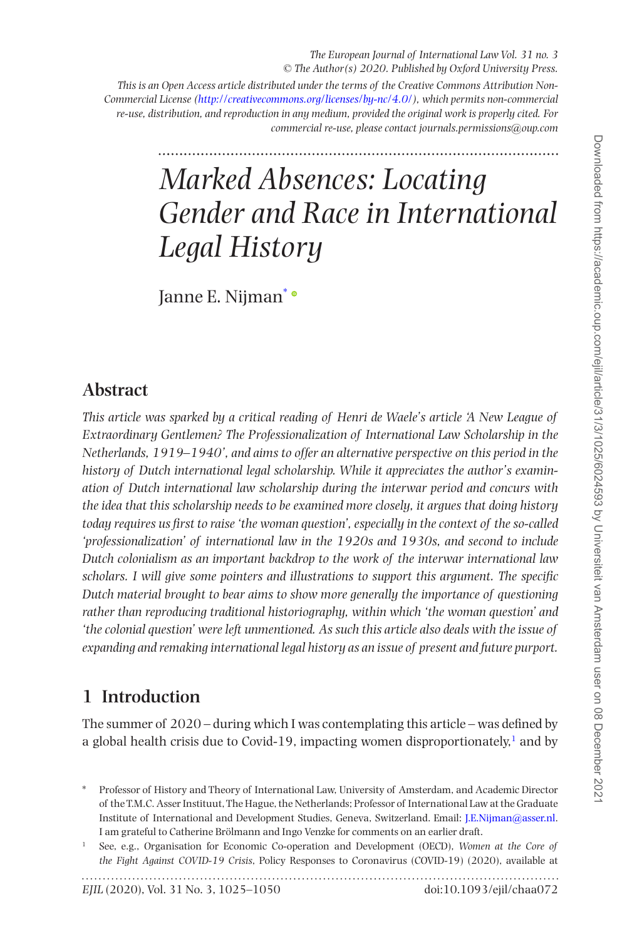*This is an Open Access article distributed under the terms of the Creative Commons Attribution Non-Commercial License (<http://creativecommons.org/licenses/by-nc/4.0/>), which permits non-commercial re-use, distribution, and reproduction in any medium, provided the original work is properly cited. For commercial re-use, please contact journals.permissions@oup.com*

# *Marked Absences: Locating Gender and Race in International Legal History*

Janne E. Nijman\*

# **Abstract**

*This article was sparked by a critical reading of Henri de Waele's article 'A New League of Extraordinary Gentlemen? The Professionalization of International Law Scholarship in the Netherlands, 1919–1940', and aims to offer an alternative perspective on this period in the history of Dutch international legal scholarship. While it appreciates the author's examination of Dutch international law scholarship during the interwar period and concurs with the idea that this scholarship needs to be examined more closely, it argues that doing history today requires us first to raise 'the woman question', especially in the context of the so-called 'professionalization' of international law in the 1920s and 1930s, and second to include Dutch colonialism as an important backdrop to the work of the interwar international law scholars. I will give some pointers and illustrations to support this argument. The specific Dutch material brought to bear aims to show more generally the importance of questioning rather than reproducing traditional historiography, within which 'the woman question' and 'the colonial question' were left unmentioned. As such this article also deals with the issue of expanding and remaking international legal history as an issue of present and future purport.*

# **1 Introduction**

The summer of 2020 – during which I was contemplating this article – was defined by a global health crisis due to Covid-[1](#page-1-0)9, impacting women disproportionately, $<sup>1</sup>$  and by</sup>

<sup>\*</sup> Professor of History and Theory of International Law, University of Amsterdam, and Academic Director of the T.M.C. Asser Instituut, The Hague, the Netherlands; Professor of International Law at the Graduate Institute of International and Development Studies, Geneva, Switzerland. Email: [J.E.Nijman@asser.nl](https://doi.org/J.E.Nijman@asser.nl). I am grateful to Catherine Brölmann and Ingo Venzke for comments on an earlier draft.

<span id="page-1-0"></span><sup>1</sup> See, e.g., Organisation for Economic Co-operation and Development (OECD), *Women at the Core of the Fight Against COVID-19 Crisis*, Policy Responses to Coronavirus (COVID-19) (2020), available at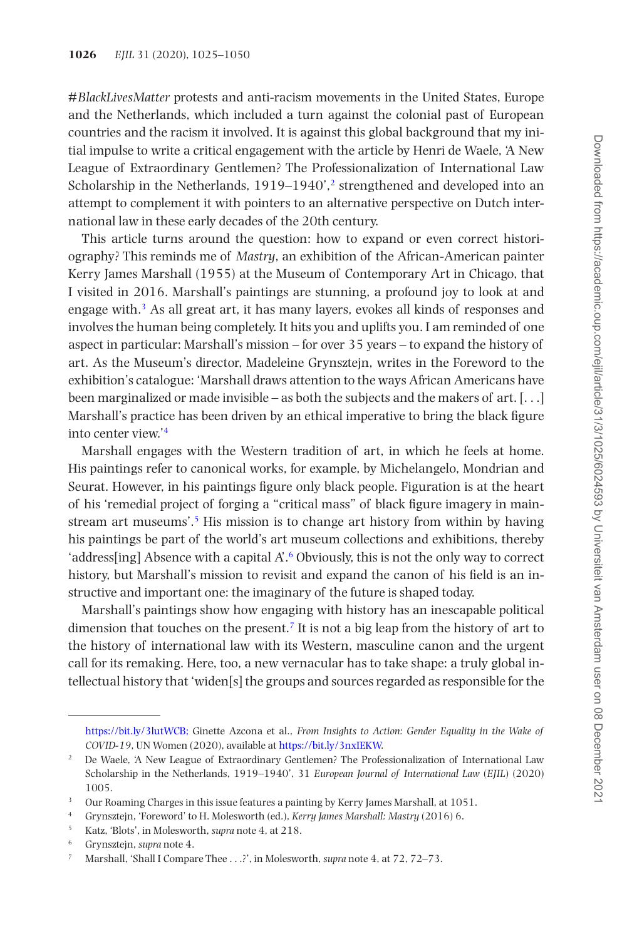*#BlackLivesMatter* protests and anti-racism movements in the United States, Europe and the Netherlands, which included a turn against the colonial past of European countries and the racism it involved. It is against this global background that my initial impulse to write a critical engagement with the article by Henri de Waele, 'A New League of Extraordinary Gentlemen? The Professionalization of International Law Scholarship in the Netherlands,  $1919-1940'$ , strengthened and developed into an attempt to complement it with pointers to an alternative perspective on Dutch international law in these early decades of the 20th century.

This article turns around the question: how to expand or even correct historiography? This reminds me of *Mastry*, an exhibition of the African-American painter Kerry James Marshall (1955) at the Museum of Contemporary Art in Chicago, that I visited in 2016. Marshall's paintings are stunning, a profound joy to look at and engage with.[3](#page-2-1) As all great art, it has many layers, evokes all kinds of responses and involves the human being completely. It hits you and uplifts you. I am reminded of one aspect in particular: Marshall's mission – for over 35 years – to expand the history of art. As the Museum's director, Madeleine Grynsztejn, writes in the Foreword to the exhibition's catalogue: 'Marshall draws attention to the ways African Americans have been marginalized or made invisible – as both the subjects and the makers of art.  $[\ldots]$ Marshall's practice has been driven by an ethical imperative to bring the black figure into center view.'[4](#page-2-2)

Marshall engages with the Western tradition of art, in which he feels at home. His paintings refer to canonical works, for example, by Michelangelo, Mondrian and Seurat. However, in his paintings figure only black people. Figuration is at the heart of his 'remedial project of forging a "critical mass" of black figure imagery in mainstream art museums'[.5](#page-2-3) His mission is to change art history from within by having his paintings be part of the world's art museum collections and exhibitions, thereby 'address[ing] Absence with a capital A'.[6](#page-2-4) Obviously, this is not the only way to correct history, but Marshall's mission to revisit and expand the canon of his field is an instructive and important one: the imaginary of the future is shaped today.

Marshall's paintings show how engaging with history has an inescapable political dimension that touches on the present.<sup>7</sup> It is not a big leap from the history of art to the history of international law with its Western, masculine canon and the urgent call for its remaking. Here, too, a new vernacular has to take shape: a truly global intellectual history that 'widen[s] the groups and sources regarded as responsible for the

<https://bit.ly/3lutWCB;> Ginette Azcona et al., *From Insights to Action: Gender Equality in the Wake of COVID-19*, UN Women (2020), available at [https://bit.ly/3nxIEKW.](https://bit.ly/3nxIEKW)

<span id="page-2-0"></span><sup>&</sup>lt;sup>2</sup> De Waele, 'A New League of Extraordinary Gentlemen? The Professionalization of International Law Scholarship in the Netherlands, 1919–1940', 31 *European Journal of International Law* (*EJIL*) (2020) 1005.

<span id="page-2-1"></span><sup>&</sup>lt;sup>3</sup> Our Roaming Charges in this issue features a painting by Kerry James Marshall, at 1051.

<span id="page-2-2"></span><sup>4</sup> Grynsztejn, 'Foreword' to H. Molesworth (ed.), *Kerry James Marshall: Mastry* (2016) 6.

<span id="page-2-3"></span><sup>5</sup> Katz, 'Blots', in Molesworth, *supra* note 4, at 218.

<span id="page-2-4"></span><sup>6</sup> Grynsztejn, *supra* note 4.

<span id="page-2-5"></span><sup>7</sup> Marshall, 'Shall I Compare Thee . . .?', in Molesworth, *supra* note 4, at 72, 72–73.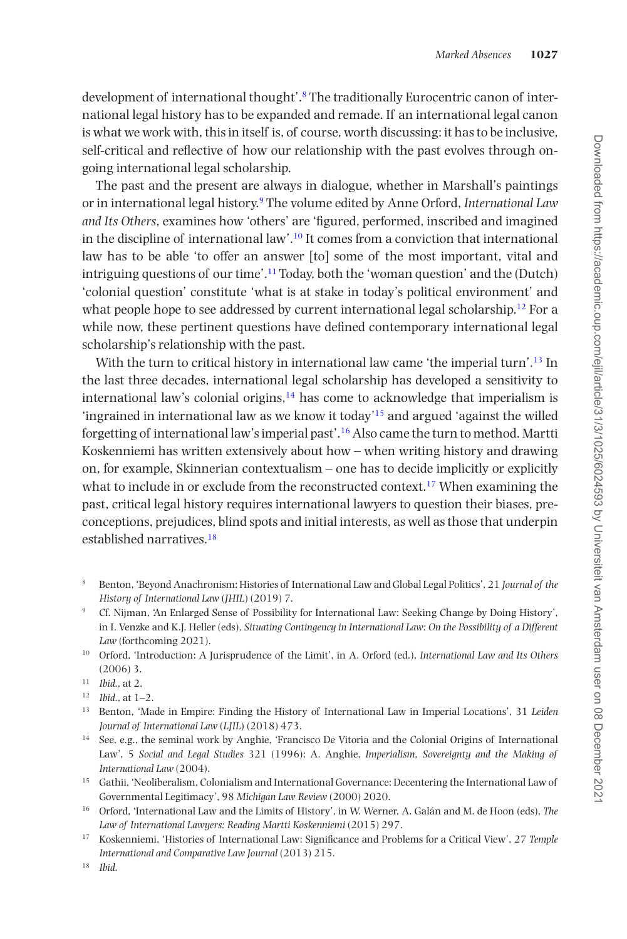development of international thought'.<sup>8</sup> The traditionally Eurocentric canon of international legal history has to be expanded and remade. If an international legal canon is what we work with, this in itself is, of course, worth discussing: it has to be inclusive, self-critical and reflective of how our relationship with the past evolves through ongoing international legal scholarship.

The past and the present are always in dialogue, whether in Marshall's paintings or in international legal history.[9](#page-3-1) The volume edited by Anne Orford, *International Law and Its Others*, examines how 'others' are 'figured, performed, inscribed and imagined in the discipline of international law'.<sup>10</sup> It comes from a conviction that international law has to be able 'to offer an answer [to] some of the most important, vital and intriguing questions of our time'.[11](#page-3-3) Today, both the 'woman question' and the (Dutch) 'colonial question' constitute 'what is at stake in today's political environment' and what people hope to see addressed by current international legal scholarship.<sup>[12](#page-3-4)</sup> For a while now, these pertinent questions have defined contemporary international legal scholarship's relationship with the past.

With the turn to critical history in international law came 'the imperial turn'.<sup>[13](#page-3-5)</sup> In the last three decades, international legal scholarship has developed a sensitivity to international law's colonial origins, $14$  has come to acknowledge that imperialism is 'ingrained in international law as we know it today'[15](#page-3-7) and argued 'against the willed forgetting of international law's imperial past'[.16](#page-3-8) Also came the turn to method. Martti Koskenniemi has written extensively about how – when writing history and drawing on, for example, Skinnerian contextualism – one has to decide implicitly or explicitly what to include in or exclude from the reconstructed context.<sup>17</sup> When examining the past, critical legal history requires international lawyers to question their biases, preconceptions, prejudices, blind spots and initial interests, as well as those that underpin established narratives.<sup>[18](#page-3-10)</sup>

<span id="page-3-2"></span><sup>10</sup> Orford, 'Introduction: A Jurisprudence of the Limit', in A. Orford (ed.), *International Law and Its Others* (2006) 3.

- <span id="page-3-4"></span><sup>12</sup> *Ibid*., at 1–2.
- <span id="page-3-5"></span><sup>13</sup> Benton, 'Made in Empire: Finding the History of International Law in Imperial Locations', 31 *Leiden Journal of International Law* (*LJIL*) (2018) 473.
- <span id="page-3-6"></span><sup>14</sup> See, e.g., the seminal work by Anghie, 'Francisco De Vitoria and the Colonial Origins of International Law', 5 *Social and Legal Studies* 321 (1996); A. Anghie, *Imperialism, Sovereignty and the Making of International Law* (2004).
- <span id="page-3-7"></span><sup>15</sup> Gathii, 'Neoliberalism, Colonialism and International Governance: Decentering the International Law of Governmental Legitimacy', 98 *Michigan Law Review* (2000) 2020.
- <span id="page-3-8"></span><sup>16</sup> Orford, 'International Law and the Limits of History', in W. Werner, A. Galán and M. de Hoon (eds), *The Law of International Lawyers: Reading Martti Koskenniemi* (2015) 297.
- <span id="page-3-9"></span><sup>17</sup> Koskenniemi, 'Histories of International Law: Significance and Problems for a Critical View', 27 *Temple International and Comparative Law Journal* (2013) 215.

<span id="page-3-10"></span><sup>18</sup> *Ibid*.

<span id="page-3-0"></span><sup>8</sup> Benton, 'Beyond Anachronism: Histories of International Law and Global Legal Politics', 21 *Journal of the History of International Law* (*JHIL*) (2019) 7.

<span id="page-3-1"></span><sup>9</sup> Cf. Nijman, 'An Enlarged Sense of Possibility for International Law: Seeking Change by Doing History', in I. Venzke and K.J. Heller (eds), *Situating Contingency in International Law: On the Possibility of a Different Law* (forthcoming 2021).

<span id="page-3-3"></span><sup>11</sup> *Ibid*., at 2.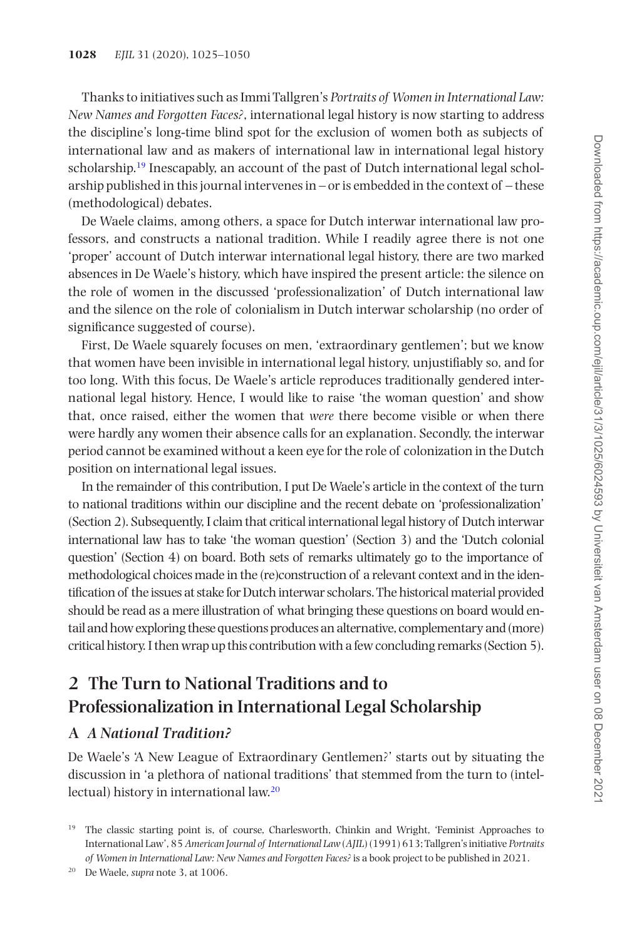Thanks to initiatives such as Immi Tallgren's *Portraits of Women in International Law: New Names and Forgotten Faces?*, international legal history is now starting to address the discipline's long-time blind spot for the exclusion of women both as subjects of international law and as makers of international law in international legal history scholarship[.19](#page-4-0) Inescapably, an account of the past of Dutch international legal scholarship published in this journal intervenes in – or is embedded in the context of – these (methodological) debates.

De Waele claims, among others, a space for Dutch interwar international law professors, and constructs a national tradition. While I readily agree there is not one 'proper' account of Dutch interwar international legal history, there are two marked absences in De Waele's history, which have inspired the present article: the silence on the role of women in the discussed 'professionalization' of Dutch international law and the silence on the role of colonialism in Dutch interwar scholarship (no order of significance suggested of course).

First, De Waele squarely focuses on men, 'extraordinary gentlemen'; but we know that women have been invisible in international legal history, unjustifiably so, and for too long. With this focus, De Waele's article reproduces traditionally gendered international legal history. Hence, I would like to raise 'the woman question' and show that, once raised, either the women that *were* there become visible or when there were hardly any women their absence calls for an explanation. Secondly, the interwar period cannot be examined without a keen eye for the role of colonization in the Dutch position on international legal issues.

In the remainder of this contribution, I put De Waele's article in the context of the turn to national traditions within our discipline and the recent debate on 'professionalization' (Section 2). Subsequently, I claim that critical international legal history of Dutch interwar international law has to take 'the woman question' (Section 3) and the 'Dutch colonial question' (Section 4) on board. Both sets of remarks ultimately go to the importance of methodological choices made in the (re)construction of a relevant context and in the identification of the issues at stake for Dutch interwar scholars. The historical material provided should be read as a mere illustration of what bringing these questions on board would entail and how exploring these questions produces an alternative, complementary and (more) critical history. I then wrap up this contribution with a few concluding remarks (Section 5).

# **2 The Turn to National Traditions and to Professionalization in International Legal Scholarship**

## **A** *A National Tradition?*

De Waele's 'A New League of Extraordinary Gentlemen?' starts out by situating the discussion in 'a plethora of national traditions' that stemmed from the turn to (intellectual) history in international law.[20](#page-4-1)

<span id="page-4-0"></span><sup>&</sup>lt;sup>19</sup> The classic starting point is, of course, Charlesworth, Chinkin and Wright, 'Feminist Approaches to International Law', 85 *American Journal of International Law* (*AJIL*) (1991) 613; Tallgren's initiative *Portraits of Women in International Law: New Names and Forgotten Faces?* is a book project to be published in 2021.

<span id="page-4-1"></span><sup>20</sup> De Waele, *supra* note 3, at 1006.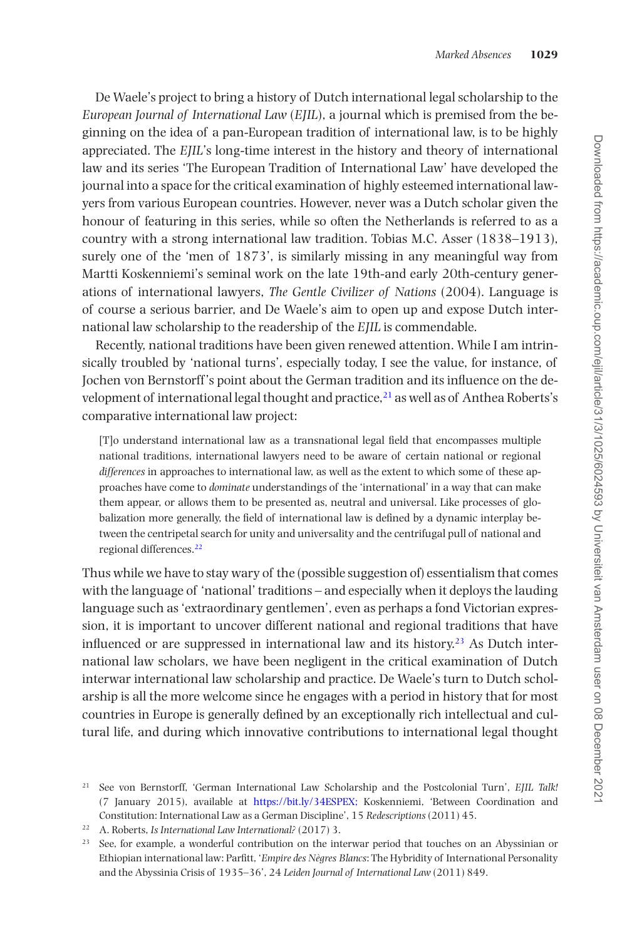De Waele's project to bring a history of Dutch international legal scholarship to the *European Journal of International Law* (*EJIL*), a journal which is premised from the beginning on the idea of a pan-European tradition of international law, is to be highly appreciated. The *EJIL*'s long-time interest in the history and theory of international law and its series 'The European Tradition of International Law' have developed the journal into a space for the critical examination of highly esteemed international lawyers from various European countries. However, never was a Dutch scholar given the honour of featuring in this series, while so often the Netherlands is referred to as a country with a strong international law tradition. Tobias M.C. Asser (1838–1913), surely one of the 'men of 1873', is similarly missing in any meaningful way from Martti Koskenniemi's seminal work on the late 19th-and early 20th-century generations of international lawyers, *The Gentle Civilizer of Nations* (2004). Language is of course a serious barrier, and De Waele's aim to open up and expose Dutch international law scholarship to the readership of the *EJIL* is commendable.

Recently, national traditions have been given renewed attention. While I am intrinsically troubled by 'national turns', especially today, I see the value, for instance, of Jochen von Bernstorff 's point about the German tradition and its influence on the development of international legal thought and practice, $^{21}$  as well as of Anthea Roberts's comparative international law project:

[T]o understand international law as a transnational legal field that encompasses multiple national traditions, international lawyers need to be aware of certain national or regional *differences* in approaches to international law, as well as the extent to which some of these approaches have come to *dominate* understandings of the 'international' in a way that can make them appear, or allows them to be presented as, neutral and universal. Like processes of globalization more generally, the field of international law is defined by a dynamic interplay between the centripetal search for unity and universality and the centrifugal pull of national and regional differences[.22](#page-5-1)

Thus while we have to stay wary of the (possible suggestion of) essentialism that comes with the language of 'national' traditions – and especially when it deploys the lauding language such as 'extraordinary gentlemen', even as perhaps a fond Victorian expression, it is important to uncover different national and regional traditions that have influenced or are suppressed in international law and its history.<sup>23</sup> As Dutch international law scholars, we have been negligent in the critical examination of Dutch interwar international law scholarship and practice. De Waele's turn to Dutch scholarship is all the more welcome since he engages with a period in history that for most countries in Europe is generally defined by an exceptionally rich intellectual and cultural life, and during which innovative contributions to international legal thought

<span id="page-5-0"></span><sup>21</sup> See von Bernstorff, 'German International Law Scholarship and the Postcolonial Turn', *EJIL Talk!* (7 January 2015), available at <https://bit.ly/34ESPEX;>Koskenniemi, 'Between Coordination and Constitution: International Law as a German Discipline', 15 *Redescriptions* (2011) 45.

<span id="page-5-1"></span><sup>22</sup> A. Roberts, *Is International Law International?* (2017) 3.

<span id="page-5-2"></span><sup>&</sup>lt;sup>23</sup> See, for example, a wonderful contribution on the interwar period that touches on an Abyssinian or Ethiopian international law: Parfitt, '*Empire des Nègres Blancs*: The Hybridity of International Personality and the Abyssinia Crisis of 1935–36', 24 *Leiden Journal of International Law* (2011) 849.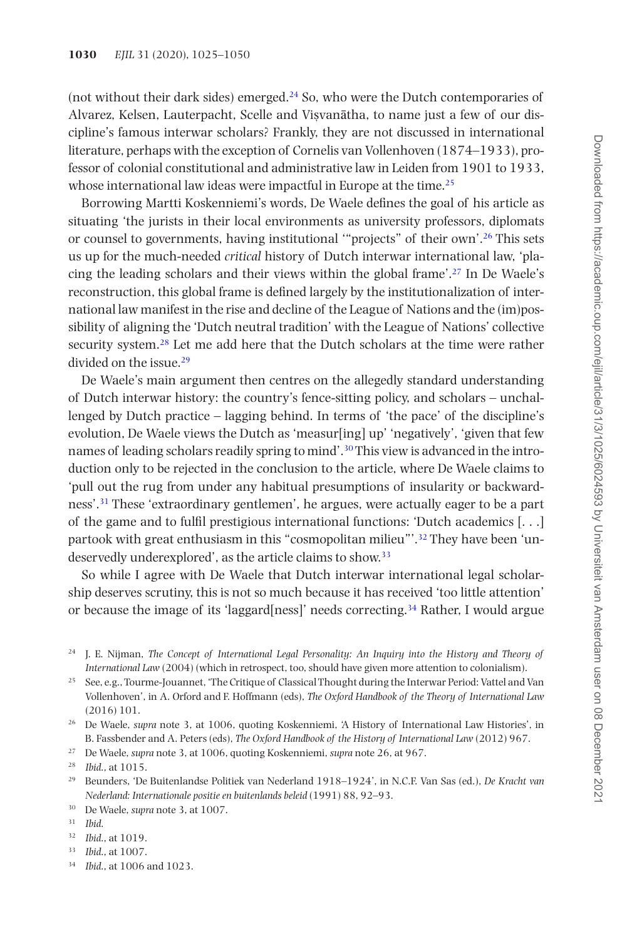(not without their dark sides) emerged[.24](#page-6-0) So, who were the Dutch contemporaries of Alvarez, Kelsen, Lauterpacht, Scelle and Vișvanātha, to name just a few of our discipline's famous interwar scholars? Frankly, they are not discussed in international literature, perhaps with the exception of Cornelis van Vollenhoven (1874–1933), professor of colonial constitutional and administrative law in Leiden from 1901 to 1933, whose international law ideas were impactful in Europe at the time.<sup>25</sup>

Borrowing Martti Koskenniemi's words, De Waele defines the goal of his article as situating 'the jurists in their local environments as university professors, diplomats or counsel to governments, having institutional '"projects" of their own'.[26](#page-6-2) This sets us up for the much-needed *critical* history of Dutch interwar international law, 'placing the leading scholars and their views within the global frame'[.27](#page-6-3) In De Waele's reconstruction, this global frame is defined largely by the institutionalization of international law manifest in the rise and decline of the League of Nations and the (im)possibility of aligning the 'Dutch neutral tradition' with the League of Nations' collective security system.<sup>[28](#page-6-4)</sup> Let me add here that the Dutch scholars at the time were rather divided on the issue.<sup>[29](#page-6-5)</sup>

De Waele's main argument then centres on the allegedly standard understanding of Dutch interwar history: the country's fence-sitting policy, and scholars – unchallenged by Dutch practice – lagging behind. In terms of 'the pace' of the discipline's evolution, De Waele views the Dutch as 'measur[ing] up' 'negatively', 'given that few names of leading scholars readily spring to mind'.<sup>[30](#page-6-6)</sup> This view is advanced in the introduction only to be rejected in the conclusion to the article, where De Waele claims to 'pull out the rug from under any habitual presumptions of insularity or backwardness'[.31](#page-6-7) These 'extraordinary gentlemen', he argues, were actually eager to be a part of the game and to fulfil prestigious international functions: 'Dutch academics [. . .] partook with great enthusiasm in this "cosmopolitan milieu"'[.32](#page-6-8) They have been 'undeservedly underexplored', as the article claims to show.<sup>33</sup>

So while I agree with De Waele that Dutch interwar international legal scholarship deserves scrutiny, this is not so much because it has received 'too little attention' or because the image of its 'laggard[ness]' needs correcting.[34](#page-6-10) Rather, I would argue

<span id="page-6-6"></span><sup>30</sup> De Waele, *supra* note 3, at 1007.

<span id="page-6-8"></span><sup>32</sup> *Ibid*., at 1019.

<span id="page-6-10"></span><sup>34</sup> *Ibid*., at 1006 and 1023.

<span id="page-6-0"></span><sup>&</sup>lt;sup>24</sup> J. E. Nijman, *The Concept of International Legal Personality: An Inquiry into the History and Theory of International Law* (2004) (which in retrospect, too, should have given more attention to colonialism).

<span id="page-6-1"></span><sup>25</sup> See, e.g., Tourme-Jouannet, 'The Critique of Classical Thought during the Interwar Period: Vattel and Van Vollenhoven', in A. Orford and F. Hoffmann (eds), *The Oxford Handbook of the Theory of International Law* (2016) 101.

<span id="page-6-2"></span><sup>26</sup> De Waele, *supra* note 3, at 1006, quoting Koskenniemi, 'A History of International Law Histories', in B. Fassbender and A. Peters (eds), *The Oxford Handbook of the History of International Law* (2012) 967.

<span id="page-6-3"></span><sup>27</sup> De Waele, *supra* note 3, at 1006, quoting Koskenniemi, *supra* note 26, at 967.

<span id="page-6-4"></span><sup>28</sup> *Ibid*., at 1015.

<span id="page-6-5"></span><sup>29</sup> Beunders, 'De Buitenlandse Politiek van Nederland 1918–1924', in N.C.F. Van Sas (ed.), *De Kracht van Nederland: Internationale positie en buitenlands beleid* (1991) 88, 92–93.

<span id="page-6-7"></span><sup>31</sup> *Ibid*.

<span id="page-6-9"></span><sup>33</sup> *Ibid*., at 1007.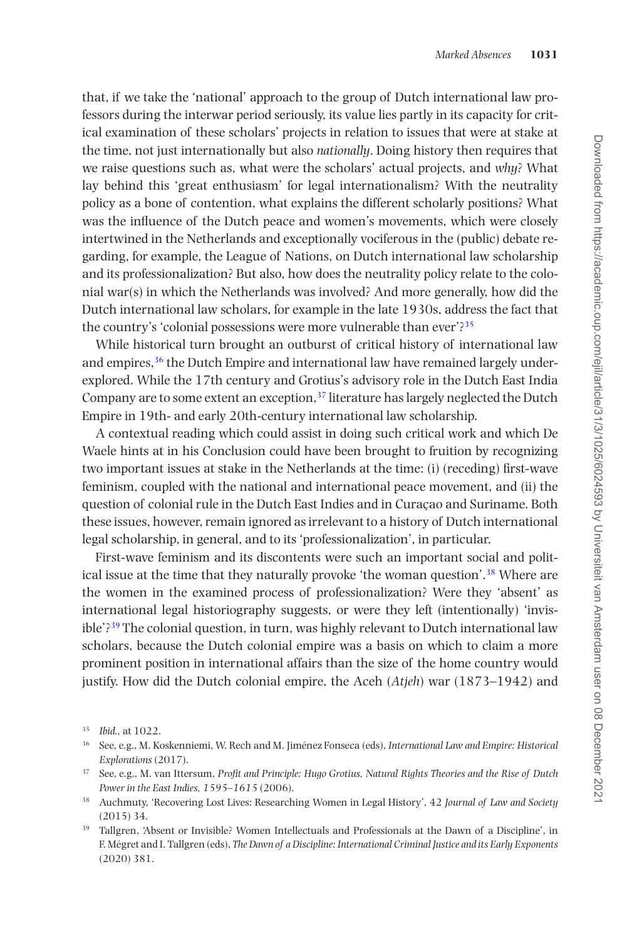that, if we take the 'national' approach to the group of Dutch international law professors during the interwar period seriously, its value lies partly in its capacity for critical examination of these scholars' projects in relation to issues that were at stake at the time, not just internationally but also *nationally*. Doing history then requires that we raise questions such as, what were the scholars' actual projects, and *why*? What lay behind this 'great enthusiasm' for legal internationalism? With the neutrality policy as a bone of contention, what explains the different scholarly positions? What was the influence of the Dutch peace and women's movements, which were closely intertwined in the Netherlands and exceptionally vociferous in the (public) debate regarding, for example, the League of Nations, on Dutch international law scholarship and its professionalization? But also, how does the neutrality policy relate to the colonial war(s) in which the Netherlands was involved? And more generally, how did the Dutch international law scholars, for example in the late 1930s, address the fact that the country's 'colonial possessions were more vulnerable than ever'?[35](#page-7-0)

While historical turn brought an outburst of critical history of international law and empires,<sup>[36](#page-7-1)</sup> the Dutch Empire and international law have remained largely underexplored. While the 17th century and Grotius's advisory role in the Dutch East India Company are to some extent an exception, $37$  literature has largely neglected the Dutch Empire in 19th- and early 20th-century international law scholarship.

A contextual reading which could assist in doing such critical work and which De Waele hints at in his Conclusion could have been brought to fruition by recognizing two important issues at stake in the Netherlands at the time: (i) (receding) first-wave feminism, coupled with the national and international peace movement, and (ii) the question of colonial rule in the Dutch East Indies and in Curaçao and Suriname. Both these issues, however, remain ignored as irrelevant to a history of Dutch international legal scholarship, in general, and to its 'professionalization', in particular.

First-wave feminism and its discontents were such an important social and political issue at the time that they naturally provoke 'the woman question'[.38](#page-7-3) Where are the women in the examined process of professionalization? Were they 'absent' as international legal historiography suggests, or were they left (intentionally) 'invis $ible$ <sup>239</sup> The colonial question, in turn, was highly relevant to Dutch international law scholars, because the Dutch colonial empire was a basis on which to claim a more prominent position in international affairs than the size of the home country would justify. How did the Dutch colonial empire, the Aceh (*Atjeh*) war (1873–1942) and

<span id="page-7-0"></span><sup>35</sup> *Ibid.,* at 1022.

<span id="page-7-1"></span><sup>36</sup> See, e.g., M. Koskenniemi, W. Rech and M. Jiménez Fonseca (eds), *International Law and Empire: Historical Explorations* (2017).

<span id="page-7-2"></span><sup>37</sup> See, e.g., M. van Ittersum, *Profit and Principle: Hugo Grotius, Natural Rights Theories and the Rise of Dutch Power in the East Indies, 1595–1615* (2006).

<span id="page-7-3"></span><sup>38</sup> Auchmuty, 'Recovering Lost Lives: Researching Women in Legal History', 42 *Journal of Law and Society* (2015) 34.

<span id="page-7-4"></span><sup>39</sup> Tallgren, 'Absent or Invisible? Women Intellectuals and Professionals at the Dawn of a Discipline', in F. Mégret and I. Tallgren (eds), *The Dawn of a Discipline: International Criminal Justice and its Early Exponents* (2020) 381.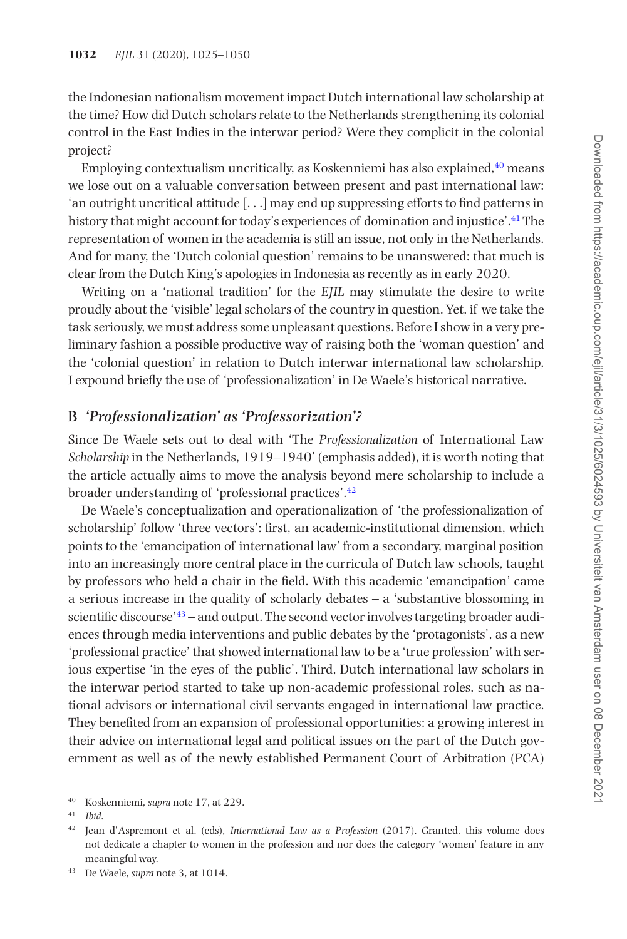the Indonesian nationalism movement impact Dutch international law scholarship at the time? How did Dutch scholars relate to the Netherlands strengthening its colonial control in the East Indies in the interwar period? Were they complicit in the colonial project?

Employing contextualism uncritically, as Koskenniemi has also explained.<sup>40</sup> means we lose out on a valuable conversation between present and past international law: 'an outright uncritical attitude  $[\ldots]$  may end up suppressing efforts to find patterns in history that might account for today's experiences of domination and injustice'.[41](#page-8-1) The representation of women in the academia is still an issue, not only in the Netherlands. And for many, the 'Dutch colonial question' remains to be unanswered: that much is clear from the Dutch King's apologies in Indonesia as recently as in early 2020.

Writing on a 'national tradition' for the *EJIL* may stimulate the desire to write proudly about the 'visible' legal scholars of the country in question. Yet, if we take the task seriously, we must address some unpleasant questions. Before I show in a very preliminary fashion a possible productive way of raising both the 'woman question' and the 'colonial question' in relation to Dutch interwar international law scholarship, I expound briefly the use of 'professionalization' in De Waele's historical narrative.

#### **B** *'Professionalization' as 'Professorization'?*

Since De Waele sets out to deal with 'The *Professionalization* of International Law *Scholarship* in the Netherlands, 1919–1940' (emphasis added), it is worth noting that the article actually aims to move the analysis beyond mere scholarship to include a broader understanding of 'professional practices'.[42](#page-8-2)

De Waele's conceptualization and operationalization of 'the professionalization of scholarship' follow 'three vectors': first, an academic-institutional dimension, which points to the 'emancipation of international law' from a secondary, marginal position into an increasingly more central place in the curricula of Dutch law schools, taught by professors who held a chair in the field. With this academic 'emancipation' came a serious increase in the quality of scholarly debates – a 'substantive blossoming in scientific discourse'<sup>[43](#page-8-3)</sup> – and output. The second vector involves targeting broader audiences through media interventions and public debates by the 'protagonists', as a new 'professional practice' that showed international law to be a 'true profession' with serious expertise 'in the eyes of the public'. Third, Dutch international law scholars in the interwar period started to take up non-academic professional roles, such as national advisors or international civil servants engaged in international law practice. They benefited from an expansion of professional opportunities: a growing interest in their advice on international legal and political issues on the part of the Dutch government as well as of the newly established Permanent Court of Arbitration (PCA)

<span id="page-8-0"></span><sup>40</sup> Koskenniemi, *supra* note 17, at 229.

<span id="page-8-1"></span><sup>41</sup> *Ibid*.

<span id="page-8-2"></span><sup>42</sup> Jean d'Aspremont et al. (eds), *International Law as a Profession* (2017). Granted, this volume does not dedicate a chapter to women in the profession and nor does the category 'women' feature in any meaningful way.

<span id="page-8-3"></span><sup>43</sup> De Waele, *supra* note 3, at 1014.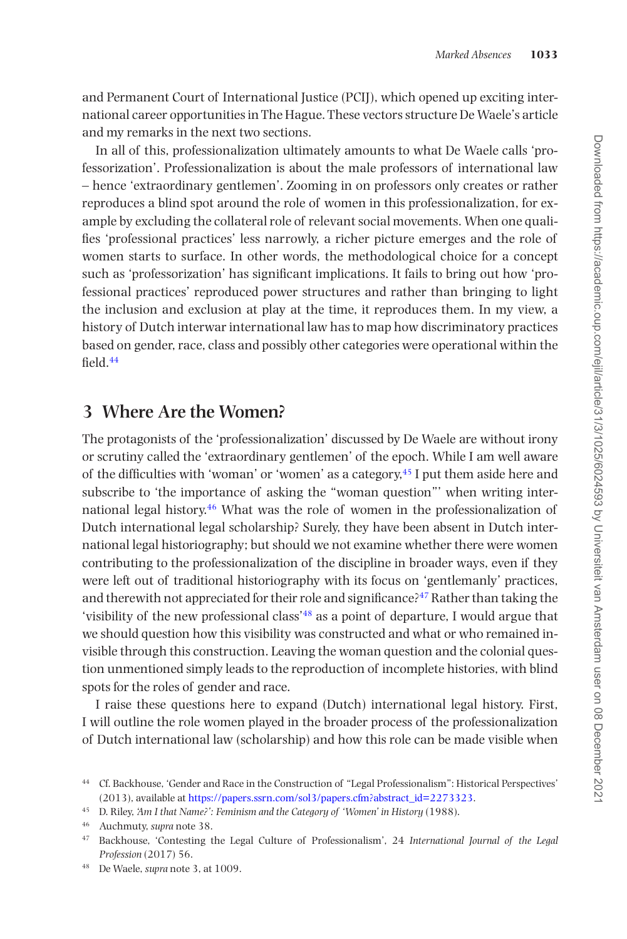and Permanent Court of International Justice (PCIJ), which opened up exciting international career opportunities in The Hague. These vectors structure De Waele's article and my remarks in the next two sections.

In all of this, professionalization ultimately amounts to what De Waele calls 'professorization'. Professionalization is about the male professors of international law – hence 'extraordinary gentlemen'. Zooming in on professors only creates or rather reproduces a blind spot around the role of women in this professionalization, for example by excluding the collateral role of relevant social movements. When one qualifies 'professional practices' less narrowly, a richer picture emerges and the role of women starts to surface. In other words, the methodological choice for a concept such as 'professorization' has significant implications. It fails to bring out how 'professional practices' reproduced power structures and rather than bringing to light the inclusion and exclusion at play at the time, it reproduces them. In my view, a history of Dutch interwar international law has to map how discriminatory practices based on gender, race, class and possibly other categories were operational within the field[.44](#page-9-0)

## **3 Where Are the Women?**

The protagonists of the 'professionalization' discussed by De Waele are without irony or scrutiny called the 'extraordinary gentlemen' of the epoch. While I am well aware of the difficulties with 'woman' or 'women' as a category, $45$  I put them aside here and subscribe to 'the importance of asking the "woman question"' when writing international legal history[.46](#page-9-2) What was the role of women in the professionalization of Dutch international legal scholarship? Surely, they have been absent in Dutch international legal historiography; but should we not examine whether there were women contributing to the professionalization of the discipline in broader ways, even if they were left out of traditional historiography with its focus on 'gentlemanly' practices, and therewith not appreciated for their role and significance?<sup>47</sup> Rather than taking the 'visibility of the new professional class'[48](#page-9-4) as a point of departure, I would argue that we should question how this visibility was constructed and what or who remained invisible through this construction. Leaving the woman question and the colonial question unmentioned simply leads to the reproduction of incomplete histories, with blind spots for the roles of gender and race.

I raise these questions here to expand (Dutch) international legal history. First, I will outline the role women played in the broader process of the professionalization of Dutch international law (scholarship) and how this role can be made visible when

<span id="page-9-0"></span><sup>44</sup> Cf. Backhouse, 'Gender and Race in the Construction of "Legal Professionalism": Historical Perspectives' (2013), available at [https://papers.ssrn.com/sol3/papers.cfm?abstract\\_id=2273323](https://papers.ssrn.com/sol3/papers.cfm?abstract_id=2273323).

<span id="page-9-1"></span><sup>45</sup> D. Riley, *'Am I that Name?': Feminism and the Category of 'Women' in History* (1988).

<span id="page-9-2"></span><sup>46</sup> Auchmuty, *supra* note 38.

<span id="page-9-3"></span><sup>47</sup> Backhouse, 'Contesting the Legal Culture of Professionalism', 24 *International Journal of the Legal Profession* (2017) 56.

<span id="page-9-4"></span><sup>48</sup> De Waele, *supra* note 3, at 1009.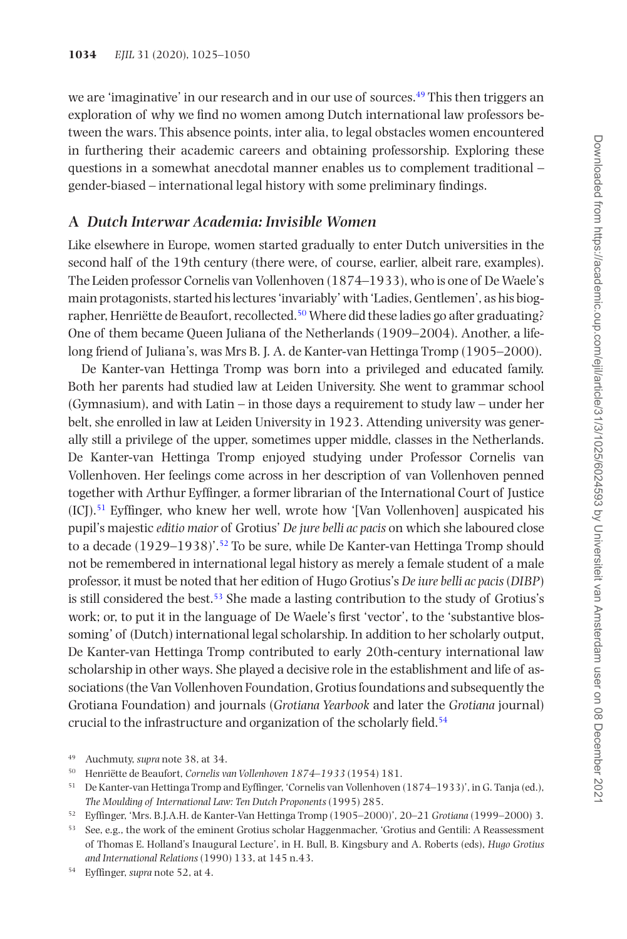we are 'imaginative' in our research and in our use of sources.<sup>[49](#page-10-0)</sup> This then triggers an exploration of why we find no women among Dutch international law professors between the wars. This absence points, inter alia, to legal obstacles women encountered in furthering their academic careers and obtaining professorship. Exploring these questions in a somewhat anecdotal manner enables us to complement traditional – gender-biased – international legal history with some preliminary findings.

#### **A** *Dutch Interwar Academia: Invisible Women*

Like elsewhere in Europe, women started gradually to enter Dutch universities in the second half of the 19th century (there were, of course, earlier, albeit rare, examples). The Leiden professor Cornelis van Vollenhoven (1874–1933), who is one of De Waele's main protagonists, started his lectures 'invariably' with 'Ladies, Gentlemen', as his biog-rapher, Henriëtte de Beaufort, recollected.<sup>[50](#page-10-1)</sup> Where did these ladies go after graduating? One of them became Queen Juliana of the Netherlands (1909–2004). Another, a lifelong friend of Juliana's, was Mrs B. J. A. de Kanter-van Hettinga Tromp (1905–2000).

De Kanter-van Hettinga Tromp was born into a privileged and educated family. Both her parents had studied law at Leiden University. She went to grammar school (Gymnasium), and with Latin – in those days a requirement to study law – under her belt, she enrolled in law at Leiden University in 1923. Attending university was generally still a privilege of the upper, sometimes upper middle, classes in the Netherlands. De Kanter-van Hettinga Tromp enjoyed studying under Professor Cornelis van Vollenhoven. Her feelings come across in her description of van Vollenhoven penned together with Arthur Eyffinger, a former librarian of the International Court of Justice  $(ICJ).<sup>51</sup>$  Eyffinger, who knew her well, wrote how '[Van Vollenhoven] auspicated his pupil's majestic *editio maior* of Grotius' *De jure belli ac pacis* on which she laboured close to a decade (1929–1938)'.[52](#page-10-3) To be sure, while De Kanter-van Hettinga Tromp should not be remembered in international legal history as merely a female student of a male professor, it must be noted that her edition of Hugo Grotius's *De iure belli ac pacis* (*DIBP*) is still considered the best.[53](#page-10-4) She made a lasting contribution to the study of Grotius's work; or, to put it in the language of De Waele's first 'vector', to the 'substantive blossoming' of (Dutch) international legal scholarship. In addition to her scholarly output, De Kanter-van Hettinga Tromp contributed to early 20th-century international law scholarship in other ways. She played a decisive role in the establishment and life of associations (the Van Vollenhoven Foundation, Grotius foundations and subsequently the Grotiana Foundation) and journals (*Grotiana Yearbook* and later the *Grotiana* journal) crucial to the infrastructure and organization of the scholarly field.<sup>54</sup>

<span id="page-10-0"></span><sup>49</sup> Auchmuty, *supra* note 38, at 34.

<span id="page-10-1"></span><sup>50</sup> Henriëtte de Beaufort, *Cornelis van Vollenhoven 1874–1933* (1954) 181.

<span id="page-10-2"></span><sup>51</sup> De Kanter-van Hettinga Tromp and Eyffinger, 'Cornelis van Vollenhoven (1874–1933)', in G. Tanja (ed.), *The Moulding of International Law: Ten Dutch Proponents* (1995) 285.

<span id="page-10-3"></span><sup>52</sup> Eyffinger, 'Mrs. B.J.A.H. de Kanter-Van Hettinga Tromp (1905–2000)', 20–21 *Grotiana* (1999–2000) 3.

<span id="page-10-4"></span><sup>53</sup> See, e.g., the work of the eminent Grotius scholar Haggenmacher, 'Grotius and Gentili: A Reassessment of Thomas E. Holland's Inaugural Lecture', in H. Bull, B. Kingsbury and A. Roberts (eds), *Hugo Grotius and International Relations* (1990) 133, at 145 n.43.

<span id="page-10-5"></span><sup>54</sup> Eyffinger, *supra* note 52, at 4.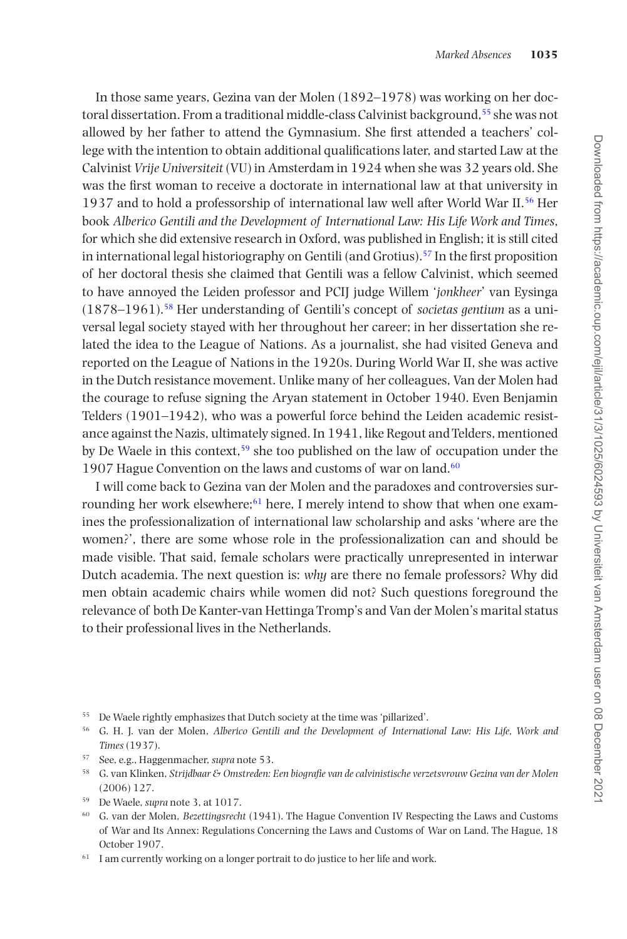In those same years, Gezina van der Molen (1892–1978) was working on her doctoral dissertation. From a traditional middle-class Calvinist background,[55](#page-11-0) she was not allowed by her father to attend the Gymnasium. She first attended a teachers' college with the intention to obtain additional qualifications later, and started Law at the Calvinist *Vrije Universiteit* (VU) in Amsterdam in 1924 when she was 32 years old. She was the first woman to receive a doctorate in international law at that university in 1937 and to hold a professorship of international law well after World War II[.56](#page-11-1) Her book *Alberico Gentili and the Development of International Law: His Life Work and Times*, for which she did extensive research in Oxford, was published in English; it is still cited in international legal historiography on Gentili (and Grotius).<sup>57</sup> In the first proposition of her doctoral thesis she claimed that Gentili was a fellow Calvinist, which seemed to have annoyed the Leiden professor and PCIJ judge Willem '*jonkheer*' van Eysinga (1878–1961).[58](#page-11-3) Her understanding of Gentili's concept of *societas gentium* as a universal legal society stayed with her throughout her career; in her dissertation she related the idea to the League of Nations. As a journalist, she had visited Geneva and reported on the League of Nations in the 1920s. During World War II, she was active in the Dutch resistance movement. Unlike many of her colleagues, Van der Molen had the courage to refuse signing the Aryan statement in October 1940. Even Benjamin Telders (1901–1942), who was a powerful force behind the Leiden academic resistance against the Nazis, ultimately signed. In 1941, like Regout and Telders, mentioned by De Waele in this context,<sup>[59](#page-11-4)</sup> she too published on the law of occupation under the 1907 Hague Convention on the laws and customs of war on land.<sup>60</sup>

I will come back to Gezina van der Molen and the paradoxes and controversies surrounding her work elsewhere;<sup>61</sup> here, I merely intend to show that when one examines the professionalization of international law scholarship and asks 'where are the women?', there are some whose role in the professionalization can and should be made visible. That said, female scholars were practically unrepresented in interwar Dutch academia. The next question is: *why* are there no female professors? Why did men obtain academic chairs while women did not? Such questions foreground the relevance of both De Kanter-van Hettinga Tromp's and Van der Molen's marital status to their professional lives in the Netherlands.

- <span id="page-11-0"></span><sup>55</sup> De Waele rightly emphasizes that Dutch society at the time was 'pillarized'.
- <span id="page-11-1"></span><sup>56</sup> G. H. J. van der Molen, *Alberico Gentili and the Development of International Law: His Life, Work and Times* (1937).
- <span id="page-11-2"></span><sup>57</sup> See, e.g., Haggenmacher, *supra* note 53.
- <span id="page-11-3"></span><sup>58</sup> G. van Klinken, *Strijdbaar & Omstreden: Een biografie van de calvinistische verzetsvrouw Gezina van der Molen* (2006) 127.
- <span id="page-11-4"></span><sup>59</sup> De Waele, *supra* note 3, at 1017.
- <span id="page-11-5"></span><sup>60</sup> G. van der Molen, *Bezettingsrecht* (1941). The Hague Convention IV Respecting the Laws and Customs of War and Its Annex: Regulations Concerning the Laws and Customs of War on Land. The Hague, 18 October 1907.
- <span id="page-11-6"></span> $61$  I am currently working on a longer portrait to do justice to her life and work.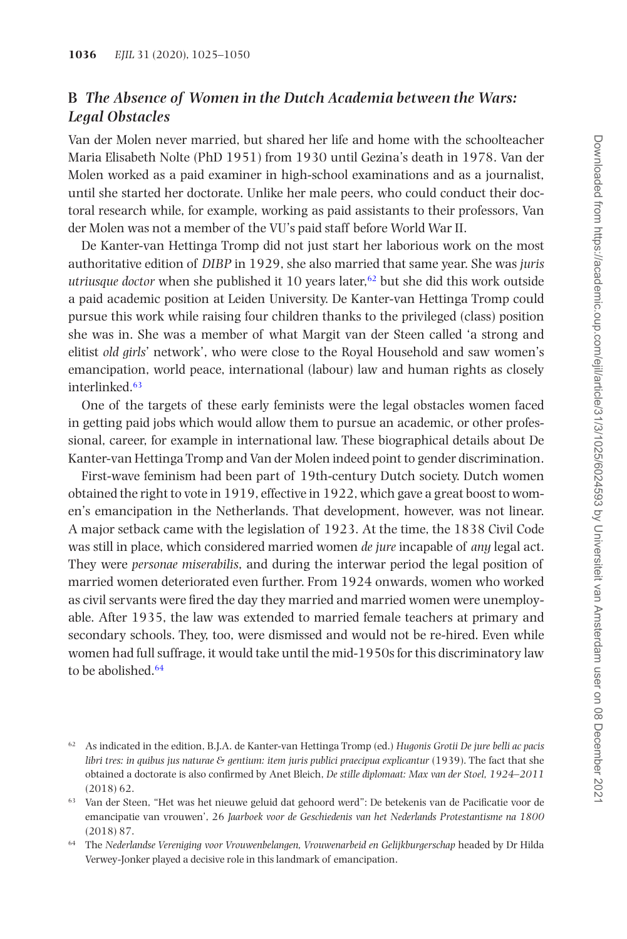#### **B** *The Absence of Women in the Dutch Academia between the Wars: Legal Obstacles*

Van der Molen never married, but shared her life and home with the schoolteacher Maria Elisabeth Nolte (PhD 1951) from 1930 until Gezina's death in 1978. Van der Molen worked as a paid examiner in high-school examinations and as a journalist, until she started her doctorate. Unlike her male peers, who could conduct their doctoral research while, for example, working as paid assistants to their professors, Van der Molen was not a member of the VU's paid staff before World War II.

De Kanter-van Hettinga Tromp did not just start her laborious work on the most authoritative edition of *DIBP* in 1929, she also married that same year. She was *juris utriusque doctor* when she published it 10 years later,<sup>62</sup> but she did this work outside a paid academic position at Leiden University. De Kanter-van Hettinga Tromp could pursue this work while raising four children thanks to the privileged (class) position she was in. She was a member of what Margit van der Steen called 'a strong and elitist *old girls*' network', who were close to the Royal Household and saw women's emancipation, world peace, international (labour) law and human rights as closely interlinked.<sup>[63](#page-12-1)</sup>

One of the targets of these early feminists were the legal obstacles women faced in getting paid jobs which would allow them to pursue an academic, or other professional, career, for example in international law. These biographical details about De Kanter-van Hettinga Tromp and Van der Molen indeed point to gender discrimination.

First-wave feminism had been part of 19th-century Dutch society. Dutch women obtained the right to vote in 1919, effective in 1922, which gave a great boost to women's emancipation in the Netherlands. That development, however, was not linear. A major setback came with the legislation of 1923. At the time, the 1838 Civil Code was still in place, which considered married women *de jure* incapable of *any* legal act. They were *personae miserabilis*, and during the interwar period the legal position of married women deteriorated even further. From 1924 onwards, women who worked as civil servants were fired the day they married and married women were unemployable. After 1935, the law was extended to married female teachers at primary and secondary schools. They, too, were dismissed and would not be re-hired. Even while women had full suffrage, it would take until the mid-1950s for this discriminatory law to be abolished.<sup>64</sup>

<span id="page-12-0"></span><sup>62</sup> As indicated in the edition, B.J.A. de Kanter-van Hettinga Tromp (ed.) *Hugonis Grotii De jure belli ac pacis libri tres: in quibus jus naturae & gentium: item juris publici praecipua explicantur* (1939). The fact that she obtained a doctorate is also confirmed by Anet Bleich, *De stille diplomaat: Max van der Stoel, 1924–2011* (2018) 62.

<span id="page-12-1"></span><sup>63</sup> Van der Steen, "Het was het nieuwe geluid dat gehoord werd": De betekenis van de Pacificatie voor de emancipatie van vrouwen', 26 *Jaarboek voor de Geschiedenis van het Nederlands Protestantisme na 1800* (2018) 87.

<span id="page-12-2"></span><sup>64</sup> The *Nederlandse Vereniging voor Vrouwenbelangen, Vrouwenarbeid en Gelijkburgerschap* headed by Dr Hilda Verwey-Jonker played a decisive role in this landmark of emancipation.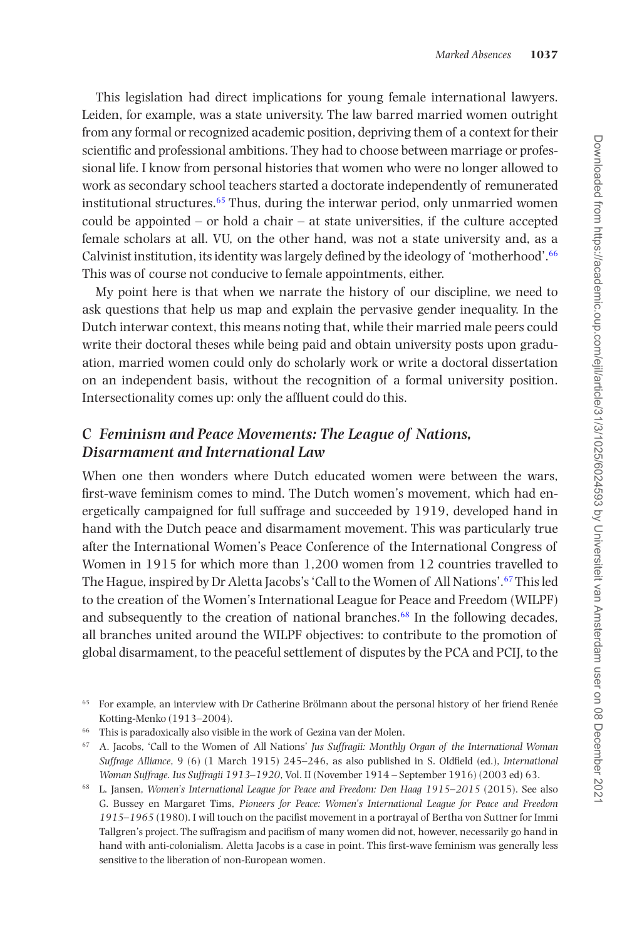This legislation had direct implications for young female international lawyers. Leiden, for example, was a state university. The law barred married women outright from any formal or recognized academic position, depriving them of a context for their scientific and professional ambitions. They had to choose between marriage or professional life. I know from personal histories that women who were no longer allowed to work as secondary school teachers started a doctorate independently of remunerated institutional structures.<sup>[65](#page-13-0)</sup> Thus, during the interwar period, only unmarried women could be appointed – or hold a chair – at state universities, if the culture accepted female scholars at all. VU, on the other hand, was not a state university and, as a Calvinist institution, its identity was largely defined by the ideology of 'motherhood'[.66](#page-13-1) This was of course not conducive to female appointments, either.

My point here is that when we narrate the history of our discipline, we need to ask questions that help us map and explain the pervasive gender inequality. In the Dutch interwar context, this means noting that, while their married male peers could write their doctoral theses while being paid and obtain university posts upon graduation, married women could only do scholarly work or write a doctoral dissertation on an independent basis, without the recognition of a formal university position. Intersectionality comes up: only the affluent could do this.

#### **C** *Feminism and Peace Movements: The League of Nations, Disarmament and International Law*

When one then wonders where Dutch educated women were between the wars. first-wave feminism comes to mind. The Dutch women's movement, which had energetically campaigned for full suffrage and succeeded by 1919, developed hand in hand with the Dutch peace and disarmament movement. This was particularly true after the International Women's Peace Conference of the International Congress of Women in 1915 for which more than 1,200 women from 12 countries travelled to The Hague, inspired by Dr Aletta Jacobs's 'Call to the Women of All Nations'.[67](#page-13-2) This led to the creation of the Women's International League for Peace and Freedom (WILPF) and subsequently to the creation of national branches.[68](#page-13-3) In the following decades, all branches united around the WILPF objectives: to contribute to the promotion of global disarmament, to the peaceful settlement of disputes by the PCA and PCIJ, to the

- <span id="page-13-1"></span>This is paradoxically also visible in the work of Gezina van der Molen.
- <span id="page-13-2"></span><sup>67</sup> A. Jacobs, 'Call to the Women of All Nations' *Jus Suffragii: Monthly Organ of the International Woman Suffrage Alliance*, 9 (6) (1 March 1915) 245–246, as also published in S. Oldfield (ed.), *International Woman Suffrage. Ius Suffragii 1913–1920*, Vol. II (November 1914 – September 1916) (2003 ed) 63.
- <span id="page-13-3"></span><sup>68</sup> L. Jansen, *Women's International League for Peace and Freedom: Den Haag 1915–2015* (2015). See also G. Bussey en Margaret Tims, *Pioneers for Peace: Women's International League for Peace and Freedom 1915–1965* (1980). I will touch on the pacifist movement in a portrayal of Bertha von Suttner for Immi Tallgren's project. The suffragism and pacifism of many women did not, however, necessarily go hand in hand with anti-colonialism. Aletta Jacobs is a case in point. This first-wave feminism was generally less sensitive to the liberation of non-European women.

<span id="page-13-0"></span><sup>&</sup>lt;sup>65</sup> For example, an interview with Dr Catherine Brölmann about the personal history of her friend Renée Kotting-Menko (1913–2004).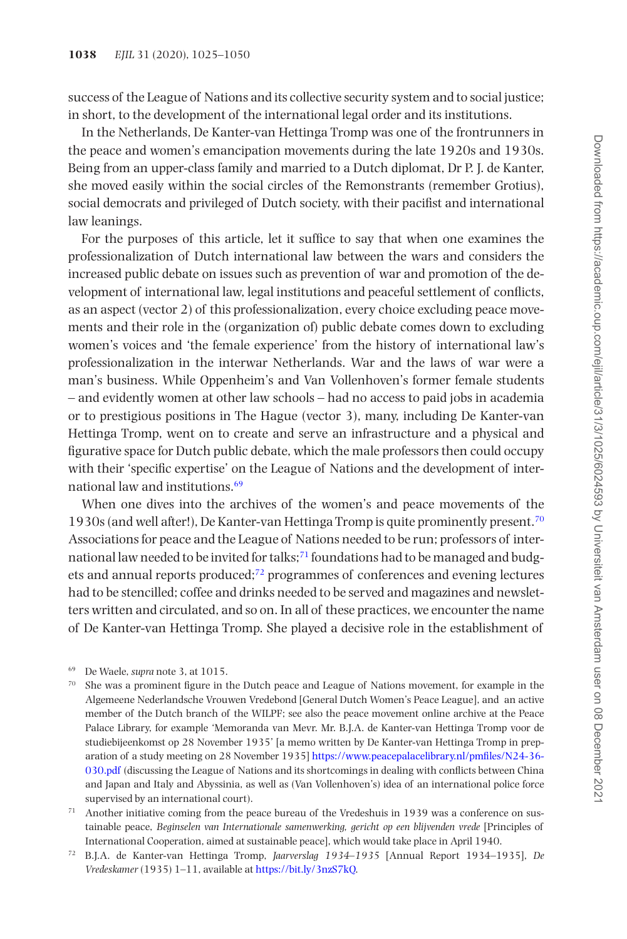success of the League of Nations and its collective security system and to social justice; in short, to the development of the international legal order and its institutions.

In the Netherlands, De Kanter-van Hettinga Tromp was one of the frontrunners in the peace and women's emancipation movements during the late 1920s and 1930s. Being from an upper-class family and married to a Dutch diplomat, Dr P. J. de Kanter, she moved easily within the social circles of the Remonstrants (remember Grotius), social democrats and privileged of Dutch society, with their pacifist and international law leanings.

For the purposes of this article, let it suffice to say that when one examines the professionalization of Dutch international law between the wars and considers the increased public debate on issues such as prevention of war and promotion of the development of international law, legal institutions and peaceful settlement of conflicts, as an aspect (vector 2) of this professionalization, every choice excluding peace movements and their role in the (organization of) public debate comes down to excluding women's voices and 'the female experience' from the history of international law's professionalization in the interwar Netherlands. War and the laws of war were a man's business. While Oppenheim's and Van Vollenhoven's former female students – and evidently women at other law schools – had no access to paid jobs in academia or to prestigious positions in The Hague (vector 3), many, including De Kanter-van Hettinga Tromp, went on to create and serve an infrastructure and a physical and figurative space for Dutch public debate, which the male professors then could occupy with their 'specific expertise' on the League of Nations and the development of international law and institutions[.69](#page-14-0)

When one dives into the archives of the women's and peace movements of the 1930s (and well after!), De Kanter-van Hettinga Tromp is quite prominently present.[70](#page-14-1) Associations for peace and the League of Nations needed to be run; professors of inter-national law needed to be invited for talks;<sup>[71](#page-14-2)</sup> foundations had to be managed and budgets and annual reports produced[;72](#page-14-3) programmes of conferences and evening lectures had to be stencilled; coffee and drinks needed to be served and magazines and newsletters written and circulated, and so on. In all of these practices, we encounter the name of De Kanter-van Hettinga Tromp. She played a decisive role in the establishment of

<span id="page-14-0"></span><sup>69</sup> De Waele, *supra* note 3, at 1015.

<span id="page-14-1"></span><sup>&</sup>lt;sup>70</sup> She was a prominent figure in the Dutch peace and League of Nations movement, for example in the Algemeene Nederlandsche Vrouwen Vredebond [General Dutch Women's Peace League], and an active member of the Dutch branch of the WILPF; see also the peace movement online archive at the Peace Palace Library, for example 'Memoranda van Mevr. Mr. B.J.A. de Kanter-van Hettinga Tromp voor de studiebijeenkomst op 28 November 1935' [a memo written by De Kanter-van Hettinga Tromp in preparation of a study meeting on 28 November 1935] [https://www.peacepalacelibrary.nl/pmfiles/N24-36-](https://www.peacepalacelibrary.nl/pmfiles/N24-36-030.pdf) [030.pdf](https://www.peacepalacelibrary.nl/pmfiles/N24-36-030.pdf) (discussing the League of Nations and its shortcomings in dealing with conflicts between China and Japan and Italy and Abyssinia, as well as (Van Vollenhoven's) idea of an international police force supervised by an international court).

<span id="page-14-2"></span> $71$  Another initiative coming from the peace bureau of the Vredeshuis in 1939 was a conference on sustainable peace, *Beginselen van Internationale samenwerking, gericht op een blijvenden vrede* [Principles of International Cooperation, aimed at sustainable peace], which would take place in April 1940.

<span id="page-14-3"></span><sup>72</sup> B.J.A. de Kanter-van Hettinga Tromp, *Jaarverslag 1934–1935* [Annual Report 1934–1935], *De Vredeskamer* (1935) 1–11, available at [https://bit.ly/3nzS7kQ.](https://bit.ly/3nzS7kQ)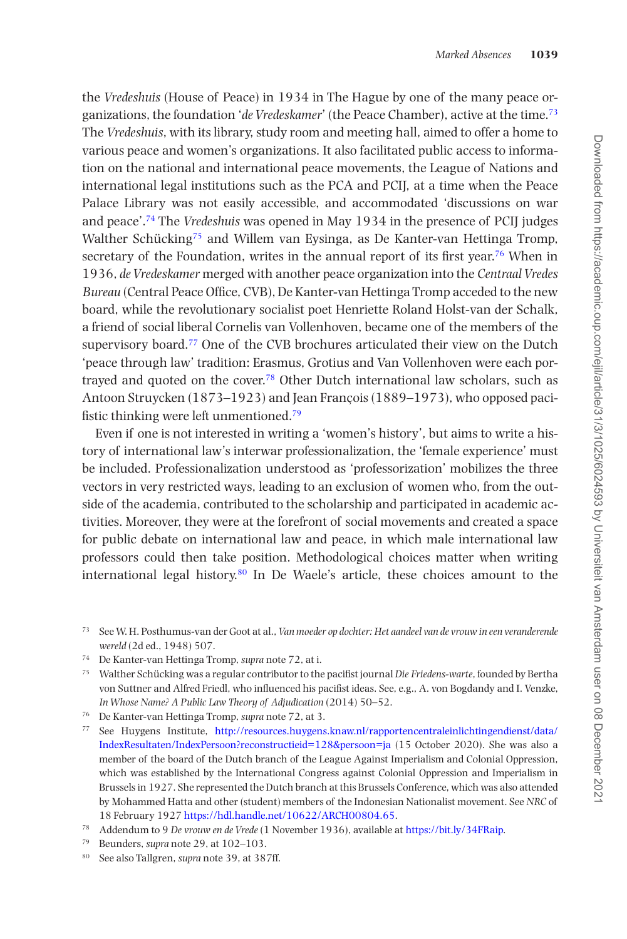the *Vredeshuis* (House of Peace) in 1934 in The Hague by one of the many peace organizations, the foundation '*de Vredeskamer*' (the Peace Chamber), active at the time[.73](#page-15-0) The *Vredeshuis*, with its library, study room and meeting hall, aimed to offer a home to various peace and women's organizations. It also facilitated public access to information on the national and international peace movements, the League of Nations and international legal institutions such as the PCA and PCIJ, at a time when the Peace Palace Library was not easily accessible, and accommodated 'discussions on war and peace'[.74](#page-15-1) The *Vredeshuis* was opened in May 1934 in the presence of PCIJ judges Walther Schücking[75](#page-15-2) and Willem van Eysinga, as De Kanter-van Hettinga Tromp, secretary of the Foundation, writes in the annual report of its first year.<sup>76</sup> When in 1936, *de Vredeskamer* merged with another peace organization into the *Centraal Vredes Bureau* (Central Peace Office, CVB), De Kanter-van Hettinga Tromp acceded to the new board, while the revolutionary socialist poet Henriette Roland Holst-van der Schalk, a friend of social liberal Cornelis van Vollenhoven, became one of the members of the supervisory board[.77](#page-15-4) One of the CVB brochures articulated their view on the Dutch 'peace through law' tradition: Erasmus, Grotius and Van Vollenhoven were each portrayed and quoted on the cover.[78](#page-15-5) Other Dutch international law scholars, such as Antoon Struycken (1873–1923) and Jean François (1889–1973), who opposed pacifistic thinking were left unmentioned[.79](#page-15-6)

Even if one is not interested in writing a 'women's history', but aims to write a history of international law's interwar professionalization, the 'female experience' must be included. Professionalization understood as 'professorization' mobilizes the three vectors in very restricted ways, leading to an exclusion of women who, from the outside of the academia, contributed to the scholarship and participated in academic activities. Moreover, they were at the forefront of social movements and created a space for public debate on international law and peace, in which male international law professors could then take position. Methodological choices matter when writing international legal history.[80](#page-15-7) In De Waele's article, these choices amount to the

- <span id="page-15-0"></span><sup>73</sup> See W. H. Posthumus-van der Goot at al., *Van moeder op dochter: Het aandeel van de vrouw in een veranderende wereld* (2d ed., 1948) 507.
- <span id="page-15-1"></span><sup>74</sup> De Kanter-van Hettinga Tromp, *supra* note 72, at i.

<span id="page-15-2"></span><sup>75</sup> Walther Schücking was a regular contributor to the pacifist journal *Die Friedens-warte*, founded by Bertha von Suttner and Alfred Friedl, who influenced his pacifist ideas. See, e.g., A. von Bogdandy and I. Venzke, *In Whose Name? A Public Law Theory of Adjudication* (2014) 50–52.

- <span id="page-15-3"></span><sup>76</sup> De Kanter-van Hettinga Tromp, *supra* note 72, at 3.
- <span id="page-15-4"></span><sup>77</sup> See Huygens Institute, [http://resources.huygens.knaw.nl/rapportencentraleinlichtingendienst/data/](http://resources.huygens.knaw.nl/rapportencentraleinlichtingendienst/data/IndexResultaten/IndexPersoon?reconstructieid=128&persoon=ja) [IndexResultaten/IndexPersoon?reconstructieid=128&persoon=ja](http://resources.huygens.knaw.nl/rapportencentraleinlichtingendienst/data/IndexResultaten/IndexPersoon?reconstructieid=128&persoon=ja) (15 October 2020). She was also a member of the board of the Dutch branch of the League Against Imperialism and Colonial Oppression, which was established by the International Congress against Colonial Oppression and Imperialism in Brussels in 1927. She represented the Dutch branch at this Brussels Conference, which was also attended by Mohammed Hatta and other (student) members of the Indonesian Nationalist movement. See *NRC* of 18 February 1927 [https://hdl.handle.net/10622/ARCH00804.65.](https://hdl.handle.net/10622/ARCH00804.65)

- <span id="page-15-6"></span><sup>79</sup> Beunders, *supra* note 29, at 102–103.
- <span id="page-15-7"></span><sup>80</sup> See also Tallgren, *supra* note 39, at 387ff.

<span id="page-15-5"></span><sup>78</sup> Addendum to 9 *De vrouw en de Vrede* (1 November 1936), available at<https://bit.ly/34FRaip>.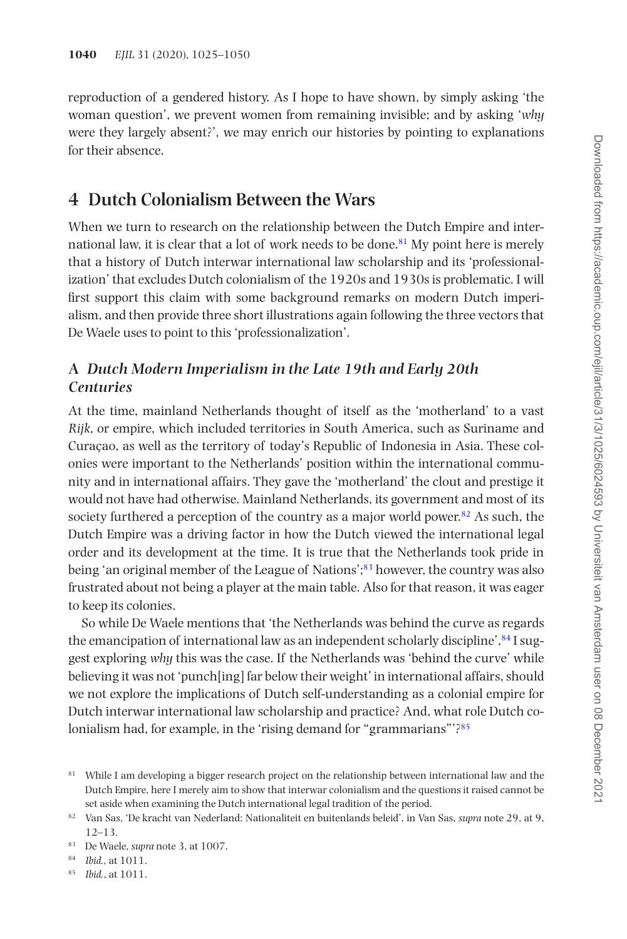reproduction of a gendered history. As I hope to have shown, by simply asking 'the woman question', we prevent women from remaining invisible; and by asking '*why* were they largely absent?', we may enrich our histories by pointing to explanations for their absence.

# **4 Dutch Colonialism Between the Wars**

When we turn to research on the relationship between the Dutch Empire and international law, it is clear that a lot of work needs to be done.<sup>81</sup> My point here is merely that a history of Dutch interwar international law scholarship and its 'professionalization' that excludes Dutch colonialism of the 1920s and 1930s is problematic. I will first support this claim with some background remarks on modern Dutch imperialism, and then provide three short illustrations again following the three vectors that De Waele uses to point to this 'professionalization'.

## **A** *Dutch Modern Imperialism in the Late 19th and Early 20th Centuries*

At the time, mainland Netherlands thought of itself as the 'motherland' to a vast *Rijk*, or empire, which included territories in South America, such as Suriname and Curaçao, as well as the territory of today's Republic of Indonesia in Asia. These colonies were important to the Netherlands' position within the international community and in international affairs. They gave the 'motherland' the clout and prestige it would not have had otherwise. Mainland Netherlands, its government and most of its society furthered a perception of the country as a major world power.<sup>[82](#page-16-1)</sup> As such, the Dutch Empire was a driving factor in how the Dutch viewed the international legal order and its development at the time. It is true that the Netherlands took pride in being 'an original member of the League of Nations';[83](#page-16-2) however, the country was also frustrated about not being a player at the main table. Also for that reason, it was eager to keep its colonies.

So while De Waele mentions that 'the Netherlands was behind the curve as regards the emancipation of international law as an independent scholarly discipline', $^{84}$ I suggest exploring *why* this was the case. If the Netherlands was 'behind the curve' while believing it was not 'punch[ing] far below their weight' in international affairs, should we not explore the implications of Dutch self-understanding as a colonial empire for Dutch interwar international law scholarship and practice? And, what role Dutch colonialism had, for example, in the 'rising demand for "grammarians"'[?85](#page-16-4)

<span id="page-16-0"></span><sup>&</sup>lt;sup>81</sup> While I am developing a bigger research project on the relationship between international law and the Dutch Empire, here I merely aim to show that interwar colonialism and the questions it raised cannot be set aside when examining the Dutch international legal tradition of the period.

<span id="page-16-1"></span><sup>82</sup> Van Sas, 'De kracht van Nederland: Nationaliteit en buitenlands beleid', in Van Sas, *supra* note 29, at 9, 12–13.

<span id="page-16-2"></span><sup>83</sup> De Waele, *supra* note 3, at 1007.

<span id="page-16-3"></span><sup>84</sup> *Ibid.,* at 1011.

<span id="page-16-4"></span><sup>85</sup> *Ibid.*, at 1011.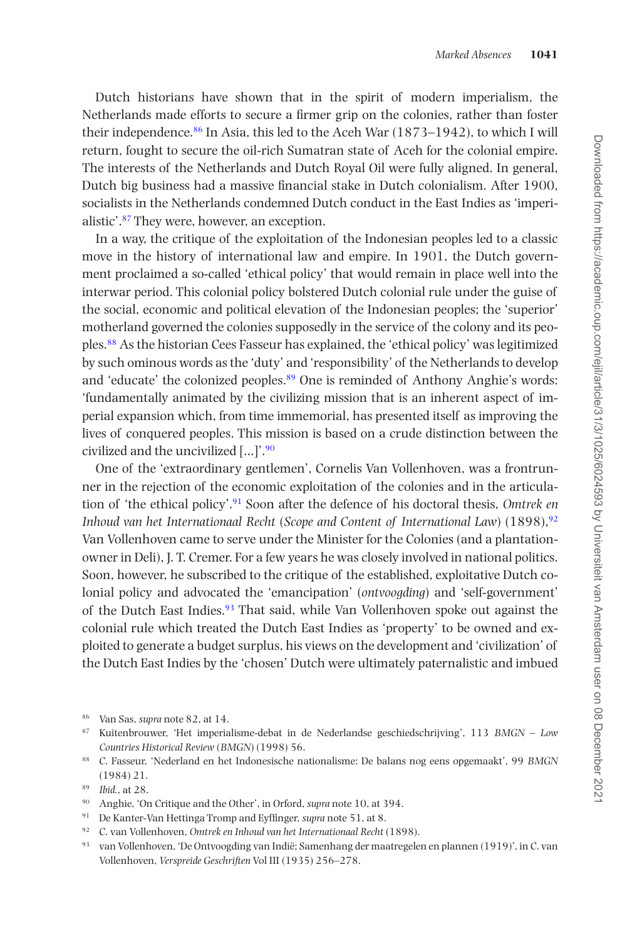Dutch historians have shown that in the spirit of modern imperialism, the Netherlands made efforts to secure a firmer grip on the colonies, rather than foster their independence[.86](#page-17-0) In Asia, this led to the Aceh War (1873–1942), to which I will return, fought to secure the oil-rich Sumatran state of Aceh for the colonial empire. The interests of the Netherlands and Dutch Royal Oil were fully aligned. In general, Dutch big business had a massive financial stake in Dutch colonialism. After 1900, socialists in the Netherlands condemned Dutch conduct in the East Indies as 'imperialistic'[.87](#page-17-1) They were, however, an exception.

In a way, the critique of the exploitation of the Indonesian peoples led to a classic move in the history of international law and empire. In 1901, the Dutch government proclaimed a so-called 'ethical policy' that would remain in place well into the interwar period. This colonial policy bolstered Dutch colonial rule under the guise of the social, economic and political elevation of the Indonesian peoples; the 'superior' motherland governed the colonies supposedly in the service of the colony and its peoples.[88](#page-17-2) As the historian Cees Fasseur has explained, the 'ethical policy' was legitimized by such ominous words as the 'duty' and 'responsibility' of the Netherlands to develop and 'educate' the colonized peoples[.89](#page-17-3) One is reminded of Anthony Anghie's words: 'fundamentally animated by the civilizing mission that is an inherent aspect of imperial expansion which, from time immemorial, has presented itself as improving the lives of conquered peoples. This mission is based on a crude distinction between the civilized and the uncivilized […]'[.90](#page-17-4)

One of the 'extraordinary gentlemen', Cornelis Van Vollenhoven, was a frontrunner in the rejection of the economic exploitation of the colonies and in the articulation of 'the ethical policy'[.91](#page-17-5) Soon after the defence of his doctoral thesis, *Omtrek en Inhoud van het Internationaal Recht* (*Scope and Content of International Law*) (1898)[,92](#page-17-6) Van Vollenhoven came to serve under the Minister for the Colonies (and a plantationowner in Deli), J. T. Cremer. For a few years he was closely involved in national politics. Soon, however, he subscribed to the critique of the established, exploitative Dutch colonial policy and advocated the 'emancipation' (*ontvoogding*) and 'self-government' of the Dutch East Indies.[93](#page-17-7) That said, while Van Vollenhoven spoke out against the colonial rule which treated the Dutch East Indies as 'property' to be owned and exploited to generate a budget surplus, his views on the development and 'civilization' of the Dutch East Indies by the 'chosen' Dutch were ultimately paternalistic and imbued

- <span id="page-17-4"></span><sup>90</sup> Anghie, 'On Critique and the Other', in Orford, *supra* note 10, at 394.
- <span id="page-17-5"></span><sup>91</sup> De Kanter-Van Hettinga Tromp and Eyffinger, *supra* note 51, at 8.
- <span id="page-17-6"></span><sup>92</sup> C. van Vollenhoven, *Omtrek en Inhoud van het Internationaal Recht* (1898).
- <span id="page-17-7"></span><sup>93</sup> van Vollenhoven, 'De Ontvoogding van Indië; Samenhang der maatregelen en plannen (1919)', in C. van Vollenhoven, *Verspreide Geschriften* Vol III (1935) 256–278.

<span id="page-17-0"></span><sup>86</sup> Van Sas, *supra* note 82, at 14.

<span id="page-17-1"></span><sup>87</sup> Kuitenbrouwer, 'Het imperialisme-debat in de Nederlandse geschiedschrijving', 113 *BMGN – Low Countries Historical Review* (*BMGN*) (1998) 56.

<span id="page-17-2"></span><sup>88</sup> C. Fasseur, 'Nederland en het Indonesische nationalisme: De balans nog eens opgemaakt', 99 *BMGN* (1984) 21.

<span id="page-17-3"></span><sup>89</sup> *Ibid.*, at 28.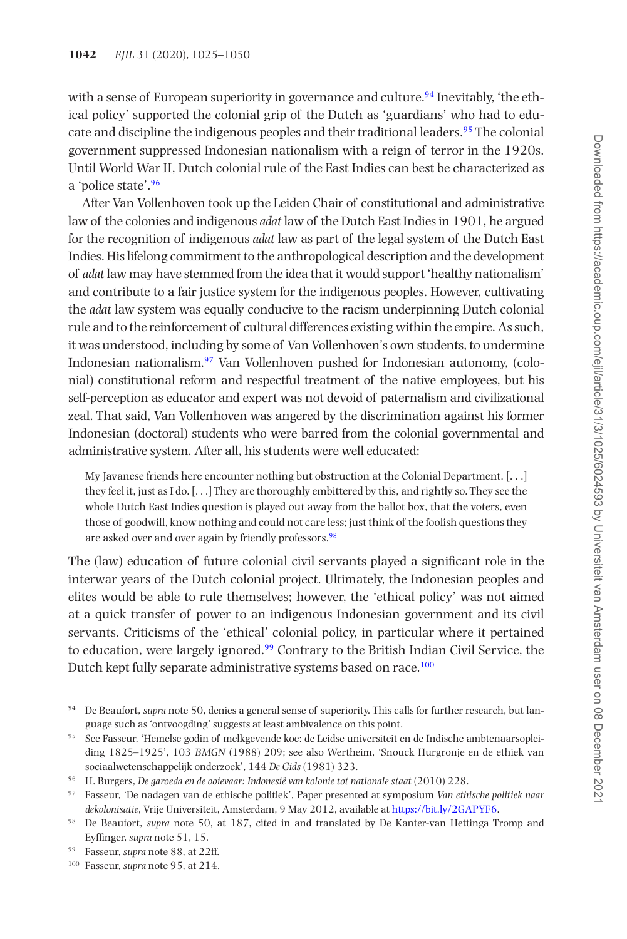with a sense of European superiority in governance and culture.<sup>[94](#page-18-0)</sup> Inevitably, 'the ethical policy' supported the colonial grip of the Dutch as 'guardians' who had to educate and discipline the indigenous peoples and their traditional leaders[.95](#page-18-1) The colonial government suppressed Indonesian nationalism with a reign of terror in the 1920s. Until World War II, Dutch colonial rule of the East Indies can best be characterized as a 'police state'[.96](#page-18-2)

After Van Vollenhoven took up the Leiden Chair of constitutional and administrative law of the colonies and indigenous *adat* law of the Dutch East Indies in 1901, he argued for the recognition of indigenous *adat* law as part of the legal system of the Dutch East Indies. His lifelong commitment to the anthropological description and the development of *adat* law may have stemmed from the idea that it would support 'healthy nationalism' and contribute to a fair justice system for the indigenous peoples. However, cultivating the *adat* law system was equally conducive to the racism underpinning Dutch colonial rule and to the reinforcement of cultural differences existing within the empire. As such, it was understood, including by some of Van Vollenhoven's own students, to undermine Indonesian nationalism[.97](#page-18-3) Van Vollenhoven pushed for Indonesian autonomy, (colonial) constitutional reform and respectful treatment of the native employees, but his self-perception as educator and expert was not devoid of paternalism and civilizational zeal. That said, Van Vollenhoven was angered by the discrimination against his former Indonesian (doctoral) students who were barred from the colonial governmental and administrative system. After all, his students were well educated:

My Javanese friends here encounter nothing but obstruction at the Colonial Department. [. . .] they feel it, just as I do. [. . .] They are thoroughly embittered by this, and rightly so. They see the whole Dutch East Indies question is played out away from the ballot box, that the voters, even those of goodwill, know nothing and could not care less; just think of the foolish questions they are asked over and over again by friendly professors.<sup>98</sup>

The (law) education of future colonial civil servants played a significant role in the interwar years of the Dutch colonial project. Ultimately, the Indonesian peoples and elites would be able to rule themselves; however, the 'ethical policy' was not aimed at a quick transfer of power to an indigenous Indonesian government and its civil servants. Criticisms of the 'ethical' colonial policy, in particular where it pertained to education, were largely ignored.[99](#page-18-5) Contrary to the British Indian Civil Service, the Dutch kept fully separate administrative systems based on race.<sup>[100](#page-18-6)</sup>

<span id="page-18-0"></span><sup>94</sup> De Beaufort, *supra* note 50, denies a general sense of superiority. This calls for further research, but language such as 'ontvoogding' suggests at least ambivalence on this point.

<span id="page-18-1"></span><sup>95</sup> See Fasseur, 'Hemelse godin of melkgevende koe: de Leidse universiteit en de Indische ambtenaarsopleiding 1825–1925', 103 *BMGN* (1988) 209; see also Wertheim, 'Snouck Hurgronje en de ethiek van sociaalwetenschappelijk onderzoek', 144 *De Gids* (1981) 323.

<span id="page-18-2"></span><sup>96</sup> H. Burgers, *De garoeda en de ooievaar: Indonesië van kolonie tot nationale staat* (2010) 228.

<span id="page-18-3"></span><sup>97</sup> Fasseur, 'De nadagen van de ethische politiek', Paper presented at symposium *Van ethische politiek naar dekolonisatie*, Vrije Universiteit, Amsterdam, 9 May 2012, available at [https://bit.ly/2GAPYF6.](https://bit.ly/2GAPYF6)

<span id="page-18-4"></span><sup>98</sup> De Beaufort, *supra* note 50, at 187, cited in and translated by De Kanter-van Hettinga Tromp and Eyffinger, *supra* note 51, 15.

<span id="page-18-5"></span><sup>99</sup> Fasseur, *supra* note 88, at 22ff.

<span id="page-18-6"></span><sup>100</sup> Fasseur, *supra* note 95, at 214.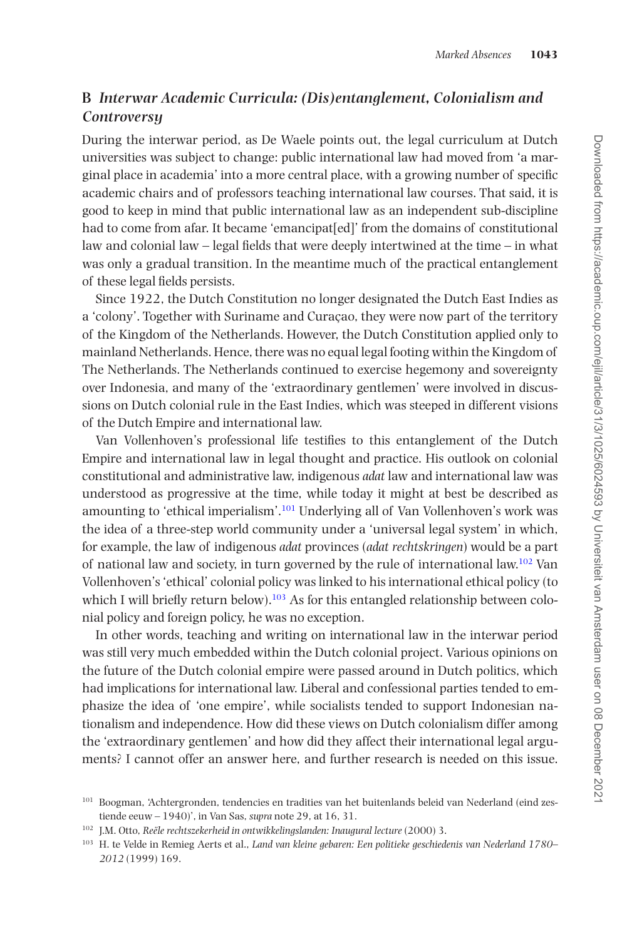## **B** *Interwar Academic Curricula: (Dis)entanglement, Colonialism and Controversy*

During the interwar period, as De Waele points out, the legal curriculum at Dutch universities was subject to change: public international law had moved from 'a marginal place in academia' into a more central place, with a growing number of specific academic chairs and of professors teaching international law courses. That said, it is good to keep in mind that public international law as an independent sub-discipline had to come from afar. It became 'emancipat[ed]' from the domains of constitutional law and colonial law – legal fields that were deeply intertwined at the time – in what was only a gradual transition. In the meantime much of the practical entanglement of these legal fields persists.

Since 1922, the Dutch Constitution no longer designated the Dutch East Indies as a 'colony'. Together with Suriname and Curaçao, they were now part of the territory of the Kingdom of the Netherlands. However, the Dutch Constitution applied only to mainland Netherlands. Hence, there was no equal legal footing within the Kingdom of The Netherlands. The Netherlands continued to exercise hegemony and sovereignty over Indonesia, and many of the 'extraordinary gentlemen' were involved in discussions on Dutch colonial rule in the East Indies, which was steeped in different visions of the Dutch Empire and international law.

Van Vollenhoven's professional life testifies to this entanglement of the Dutch Empire and international law in legal thought and practice. His outlook on colonial constitutional and administrative law, indigenous *adat* law and international law was understood as progressive at the time, while today it might at best be described as amounting to 'ethical imperialism'.<sup>101</sup> Underlying all of Van Vollenhoven's work was the idea of a three-step world community under a 'universal legal system' in which, for example, the law of indigenous *adat* provinces (*adat rechtskringen*) would be a part of national law and society, in turn governed by the rule of international law.<sup>102</sup> Van Vollenhoven's 'ethical' colonial policy was linked to his international ethical policy (to which I will briefly return below).<sup>103</sup> As for this entangled relationship between colonial policy and foreign policy, he was no exception.

In other words, teaching and writing on international law in the interwar period was still very much embedded within the Dutch colonial project. Various opinions on the future of the Dutch colonial empire were passed around in Dutch politics, which had implications for international law. Liberal and confessional parties tended to emphasize the idea of 'one empire', while socialists tended to support Indonesian nationalism and independence. How did these views on Dutch colonialism differ among the 'extraordinary gentlemen' and how did they affect their international legal arguments? I cannot offer an answer here, and further research is needed on this issue.

<span id="page-19-0"></span><sup>&</sup>lt;sup>101</sup> Boogman, 'Achtergronden, tendencies en tradities van het buitenlands beleid van Nederland (eind zestiende eeuw – 1940)', in Van Sas, *supra* note 29, at 16, 31.

<span id="page-19-1"></span><sup>102</sup> J.M. Otto, *Reële rechtszekerheid in ontwikkelingslanden: Inaugural lecture* (2000) 3.

<span id="page-19-2"></span><sup>103</sup> H. te Velde in Remieg Aerts et al., *Land van kleine gebaren: Een politieke geschiedenis van Nederland 1780– 2012* (1999) 169.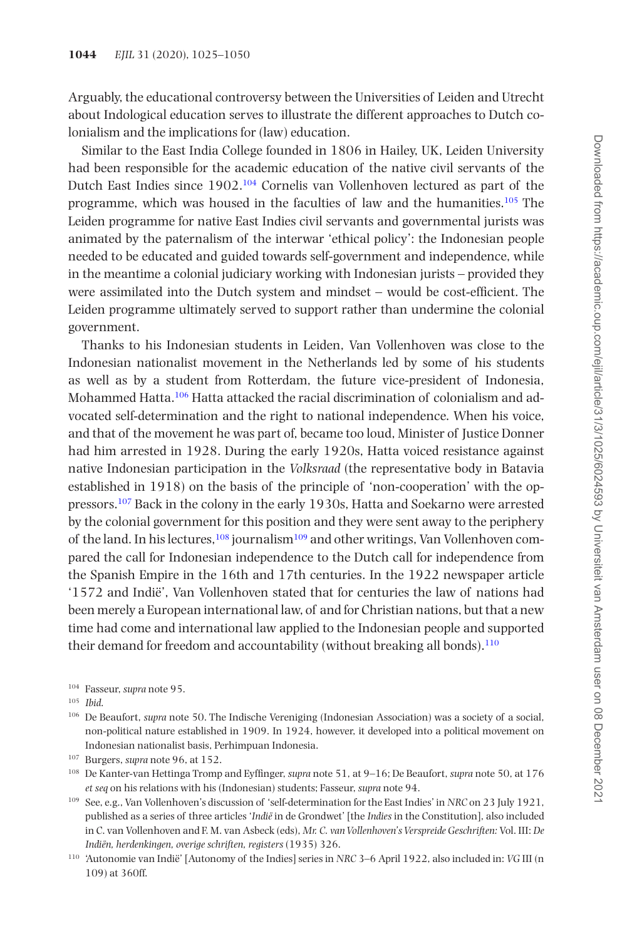Arguably, the educational controversy between the Universities of Leiden and Utrecht about Indological education serves to illustrate the different approaches to Dutch colonialism and the implications for (law) education.

Similar to the East India College founded in 1806 in Hailey, UK, Leiden University had been responsible for the academic education of the native civil servants of the Dutch East Indies since 1902[.104](#page-20-0) Cornelis van Vollenhoven lectured as part of the programme, which was housed in the faculties of law and the humanities.[105](#page-20-1) The Leiden programme for native East Indies civil servants and governmental jurists was animated by the paternalism of the interwar 'ethical policy': the Indonesian people needed to be educated and guided towards self-government and independence, while in the meantime a colonial judiciary working with Indonesian jurists – provided they were assimilated into the Dutch system and mindset – would be cost-efficient. The Leiden programme ultimately served to support rather than undermine the colonial government.

Thanks to his Indonesian students in Leiden, Van Vollenhoven was close to the Indonesian nationalist movement in the Netherlands led by some of his students as well as by a student from Rotterdam, the future vice-president of Indonesia, Mohammed Hatta[.106](#page-20-2) Hatta attacked the racial discrimination of colonialism and advocated self-determination and the right to national independence. When his voice, and that of the movement he was part of, became too loud, Minister of Justice Donner had him arrested in 1928. During the early 1920s, Hatta voiced resistance against native Indonesian participation in the *Volksraad* (the representative body in Batavia established in 1918) on the basis of the principle of 'non-cooperation' with the oppressors[.107](#page-20-3) Back in the colony in the early 1930s, Hatta and Soekarno were arrested by the colonial government for this position and they were sent away to the periphery of the land. In his lectures,  $108$  journalism  $109$  and other writings, Van Vollenhoven compared the call for Indonesian independence to the Dutch call for independence from the Spanish Empire in the 16th and 17th centuries. In the 1922 newspaper article '1572 and Indië', Van Vollenhoven stated that for centuries the law of nations had been merely a European international law, of and for Christian nations, but that a new time had come and international law applied to the Indonesian people and supported their demand for freedom and accountability (without breaking all bonds).<sup>110</sup>

<span id="page-20-0"></span><sup>104</sup> Fasseur, *supra* note 95.

<span id="page-20-1"></span><sup>105</sup> *Ibid*.

<span id="page-20-2"></span><sup>106</sup> De Beaufort, *supra* note 50. The Indische Vereniging (Indonesian Association) was a society of a social, non-political nature established in 1909. In 1924, however, it developed into a political movement on Indonesian nationalist basis, Perhimpuan Indonesia.

<span id="page-20-3"></span><sup>107</sup> Burgers, *supra* note 96, at 152.

<span id="page-20-4"></span><sup>108</sup> De Kanter-van Hettinga Tromp and Eyffinger, *supra* note 51, at 9–16; De Beaufort, *supra* note 50, at 176 *et seq* on his relations with his (Indonesian) students; Fasseur, *supra* note 94.

<span id="page-20-5"></span><sup>109</sup> See, e.g., Van Vollenhoven's discussion of 'self-determination for the East Indies' in *NRC* on 23 July 1921, published as a series of three articles '*Indië* in de Grondwet' [the *Indies* in the Constitution], also included in C. van Vollenhoven and F. M. van Asbeck (eds), *Mr. C. van Vollenhoven's Verspreide Geschriften:* Vol. III: *De Indiën, herdenkingen, overige schriften, registers* (1935) 326.

<span id="page-20-6"></span><sup>110</sup> 'Autonomie van Indië' [Autonomy of the Indies] series in *NRC* 3–6 April 1922, also included in: *VG* III (n 109) at 360ff.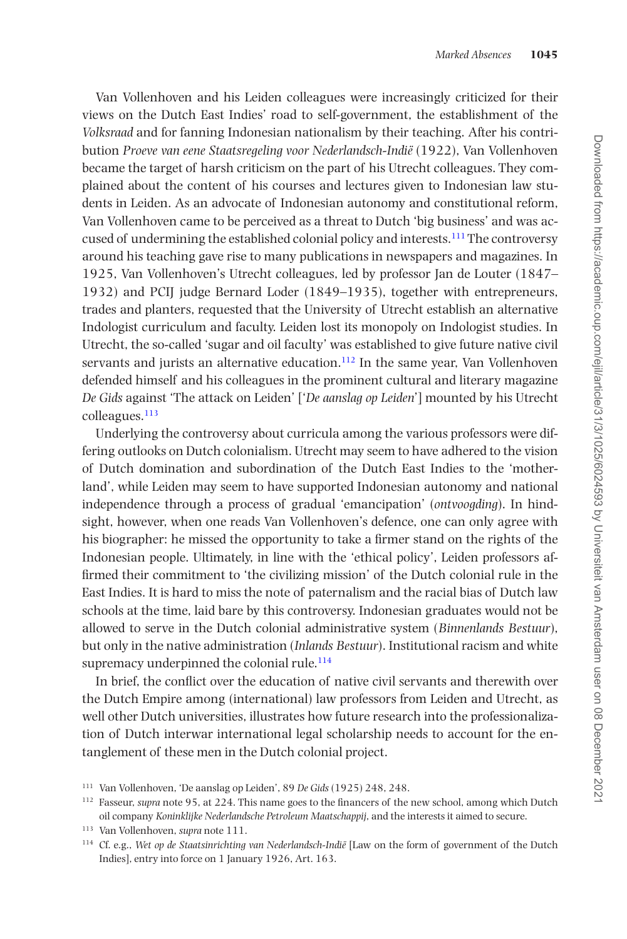Van Vollenhoven and his Leiden colleagues were increasingly criticized for their views on the Dutch East Indies' road to self-government, the establishment of the *Volksraad* and for fanning Indonesian nationalism by their teaching. After his contribution *Proeve van eene Staatsregeling voor Nederlandsch-Indië* (1922), Van Vollenhoven became the target of harsh criticism on the part of his Utrecht colleagues. They complained about the content of his courses and lectures given to Indonesian law students in Leiden. As an advocate of Indonesian autonomy and constitutional reform, Van Vollenhoven came to be perceived as a threat to Dutch 'big business' and was accused of undermining the established colonial policy and interests.[111](#page-21-0) The controversy around his teaching gave rise to many publications in newspapers and magazines. In 1925, Van Vollenhoven's Utrecht colleagues, led by professor Jan de Louter (1847– 1932) and PCIJ judge Bernard Loder (1849–1935), together with entrepreneurs, trades and planters, requested that the University of Utrecht establish an alternative Indologist curriculum and faculty. Leiden lost its monopoly on Indologist studies. In Utrecht, the so-called 'sugar and oil faculty' was established to give future native civil servants and jurists an alternative education.<sup>112</sup> In the same year, Van Vollenhoven defended himself and his colleagues in the prominent cultural and literary magazine *De Gids* against 'The attack on Leiden' ['*De aanslag op Leiden*'] mounted by his Utrecht colleagues.[113](#page-21-2)

Underlying the controversy about curricula among the various professors were differing outlooks on Dutch colonialism. Utrecht may seem to have adhered to the vision of Dutch domination and subordination of the Dutch East Indies to the 'motherland', while Leiden may seem to have supported Indonesian autonomy and national independence through a process of gradual 'emancipation' (*ontvoogding*). In hindsight, however, when one reads Van Vollenhoven's defence, one can only agree with his biographer: he missed the opportunity to take a firmer stand on the rights of the Indonesian people. Ultimately, in line with the 'ethical policy', Leiden professors affirmed their commitment to 'the civilizing mission' of the Dutch colonial rule in the East Indies. It is hard to miss the note of paternalism and the racial bias of Dutch law schools at the time, laid bare by this controversy. Indonesian graduates would not be allowed to serve in the Dutch colonial administrative system (*Binnenlands Bestuur*), but only in the native administration (*Inlands Bestuur*). Institutional racism and white supremacy underpinned the colonial rule. $114$ 

In brief, the conflict over the education of native civil servants and therewith over the Dutch Empire among (international) law professors from Leiden and Utrecht, as well other Dutch universities, illustrates how future research into the professionalization of Dutch interwar international legal scholarship needs to account for the entanglement of these men in the Dutch colonial project.

<span id="page-21-0"></span><sup>111</sup> Van Vollenhoven, 'De aanslag op Leiden', 89 *De Gids* (1925) 248, 248.

<span id="page-21-1"></span><sup>112</sup> Fasseur, *supra* note 95, at 224. This name goes to the financers of the new school, among which Dutch oil company *Koninklijke Nederlandsche Petroleum Maatschappij*, and the interests it aimed to secure.

<span id="page-21-2"></span><sup>113</sup> Van Vollenhoven, *supra* note 111.

<span id="page-21-3"></span><sup>114</sup> Cf. e.g., *Wet op de Staatsinrichting van Nederlandsch-Indië* [Law on the form of government of the Dutch Indies], entry into force on 1 January 1926, Art. 163.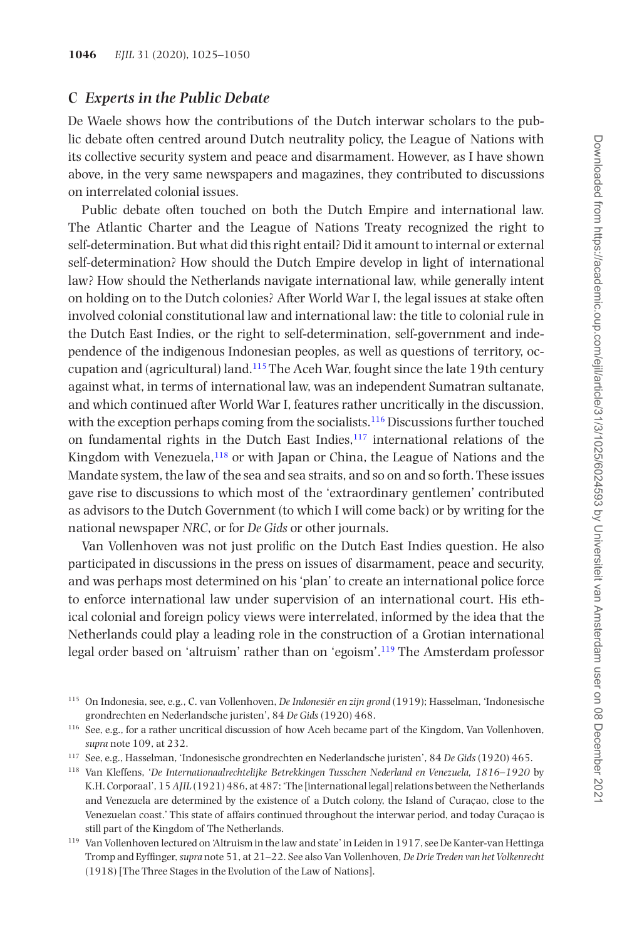#### **C** *Experts in the Public Debate*

De Waele shows how the contributions of the Dutch interwar scholars to the public debate often centred around Dutch neutrality policy, the League of Nations with its collective security system and peace and disarmament. However, as I have shown above, in the very same newspapers and magazines, they contributed to discussions on interrelated colonial issues.

Public debate often touched on both the Dutch Empire and international law. The Atlantic Charter and the League of Nations Treaty recognized the right to self-determination. But what did this right entail? Did it amount to internal or external self-determination? How should the Dutch Empire develop in light of international law? How should the Netherlands navigate international law, while generally intent on holding on to the Dutch colonies? After World War I, the legal issues at stake often involved colonial constitutional law and international law: the title to colonial rule in the Dutch East Indies, or the right to self-determination, self-government and independence of the indigenous Indonesian peoples, as well as questions of territory, occupation and (agricultural) land[.115](#page-22-0) The Aceh War, fought since the late 19th century against what, in terms of international law, was an independent Sumatran sultanate, and which continued after World War I, features rather uncritically in the discussion, with the exception perhaps coming from the socialists.<sup>116</sup> Discussions further touched on fundamental rights in the Dutch East Indies, $117$  international relations of the Kingdom with Venezuela,<sup>118</sup> or with Japan or China, the League of Nations and the Mandate system, the law of the sea and sea straits, and so on and so forth. These issues gave rise to discussions to which most of the 'extraordinary gentlemen' contributed as advisors to the Dutch Government (to which I will come back) or by writing for the national newspaper *NRC*, or for *De Gids* or other journals.

Van Vollenhoven was not just prolific on the Dutch East Indies question. He also participated in discussions in the press on issues of disarmament, peace and security, and was perhaps most determined on his 'plan' to create an international police force to enforce international law under supervision of an international court. His ethical colonial and foreign policy views were interrelated, informed by the idea that the Netherlands could play a leading role in the construction of a Grotian international legal order based on 'altruism' rather than on 'egoism'.[119](#page-22-4) The Amsterdam professor

<span id="page-22-0"></span><sup>115</sup> On Indonesia, see, e.g., C. van Vollenhoven, *De Indonesiër en zijn grond* (1919); Hasselman, 'Indonesische grondrechten en Nederlandsche juristen', 84 *De Gids* (1920) 468.

<span id="page-22-1"></span><sup>116</sup> See, e.g., for a rather uncritical discussion of how Aceh became part of the Kingdom, Van Vollenhoven, *supra* note 109, at 232.

<span id="page-22-2"></span><sup>117</sup> See, e.g., Hasselman, 'Indonesische grondrechten en Nederlandsche juristen', 84 *De Gids* (1920) 465.

<span id="page-22-3"></span><sup>118</sup> Van Kleffens, '*De Internationaalrechtelijke Betrekkingen Tusschen Nederland en Venezuela, 1816–1920* by K.H. Corporaal', 15 *AJIL* (1921) 486, at 487: 'The [international legal] relations between the Netherlands and Venezuela are determined by the existence of a Dutch colony, the Island of Curaçao, close to the Venezuelan coast.' This state of affairs continued throughout the interwar period, and today Curaçao is still part of the Kingdom of The Netherlands.

<span id="page-22-4"></span><sup>119</sup> Van Vollenhoven lectured on 'Altruism in the law and state' in Leiden in 1917, see De Kanter-van Hettinga Tromp and Eyffinger, *supra* note 51, at 21–22. See also Van Vollenhoven*, De Drie Treden van het Volkenrecht* (1918) [The Three Stages in the Evolution of the Law of Nations].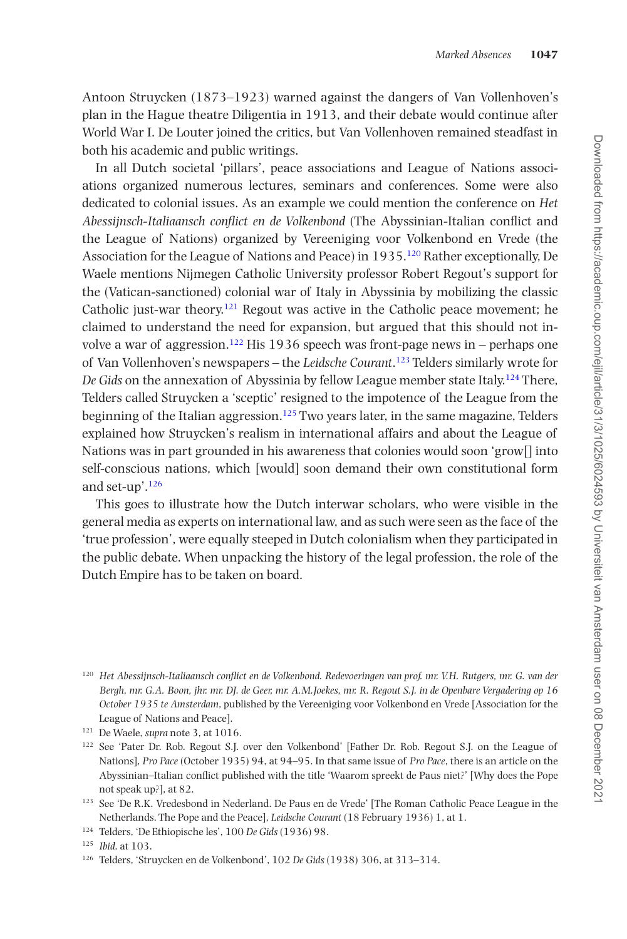Antoon Struycken (1873–1923) warned against the dangers of Van Vollenhoven's plan in the Hague theatre Diligentia in 1913, and their debate would continue after World War I. De Louter joined the critics, but Van Vollenhoven remained steadfast in both his academic and public writings.

In all Dutch societal 'pillars', peace associations and League of Nations associations organized numerous lectures, seminars and conferences. Some were also dedicated to colonial issues. As an example we could mention the conference on *Het Abessijnsch-Italiaansch conflict en de Volkenbond* (The Abyssinian-Italian conflict and the League of Nations) organized by Vereeniging voor Volkenbond en Vrede (the Association for the League of Nations and Peace) in 1935[.120](#page-23-0) Rather exceptionally, De Waele mentions Nijmegen Catholic University professor Robert Regout's support for the (Vatican-sanctioned) colonial war of Italy in Abyssinia by mobilizing the classic Catholic just-war theory.<sup>121</sup> Regout was active in the Catholic peace movement; he claimed to understand the need for expansion, but argued that this should not involve a war of aggression.<sup>122</sup> His 1936 speech was front-page news in – perhaps one of Van Vollenhoven's newspapers – the *Leidsche Courant*. [123](#page-23-3) Telders similarly wrote for *De Gids* on the annexation of Abyssinia by fellow League member state Italy.<sup>124</sup> There, Telders called Struycken a 'sceptic' resigned to the impotence of the League from the beginning of the Italian aggression.<sup>[125](#page-23-5)</sup> Two years later, in the same magazine, Telders explained how Struycken's realism in international affairs and about the League of Nations was in part grounded in his awareness that colonies would soon 'grow[] into self-conscious nations, which [would] soon demand their own constitutional form and set-up'.[126](#page-23-6)

This goes to illustrate how the Dutch interwar scholars, who were visible in the general media as experts on international law, and as such were seen as the face of the 'true profession', were equally steeped in Dutch colonialism when they participated in the public debate. When unpacking the history of the legal profession, the role of the Dutch Empire has to be taken on board.

<span id="page-23-0"></span><sup>120</sup> *Het Abessijnsch-Italiaansch conflict en de Volkenbond. Redevoeringen van prof. mr. V.H. Rutgers, mr. G. van der Bergh, mr. G.A. Boon, jhr. mr. DJ. de Geer, mr. A.M.Joekes, mr. R. Regout S.J. in de Openbare Vergadering op 16 October 1935 te Amsterdam*, published by the Vereeniging voor Volkenbond en Vrede [Association for the League of Nations and Peace].

<span id="page-23-1"></span><sup>121</sup> De Waele, *supra* note 3, at 1016.

<span id="page-23-2"></span><sup>&</sup>lt;sup>122</sup> See 'Pater Dr. Rob. Regout S.J. over den Volkenbond' [Father Dr. Rob. Regout S.J. on the League of Nations], *Pro Pace* (October 1935) 94, at 94–95. In that same issue of *Pro Pace*, there is an article on the Abyssinian–Italian conflict published with the title 'Waarom spreekt de Paus niet?' [Why does the Pope not speak up?], at 82.

<span id="page-23-3"></span><sup>123</sup> See 'De R.K. Vredesbond in Nederland. De Paus en de Vrede' [The Roman Catholic Peace League in the Netherlands. The Pope and the Peace], *Leidsche Courant* (18 February 1936) 1, at 1.

<span id="page-23-4"></span><sup>124</sup> Telders, 'De Ethiopische les', 100 *De Gids* (1936) 98.

<span id="page-23-5"></span><sup>125</sup> *Ibid*. at 103.

<span id="page-23-6"></span><sup>126</sup> Telders, 'Struycken en de Volkenbond', 102 *De Gids* (1938) 306, at 313–314.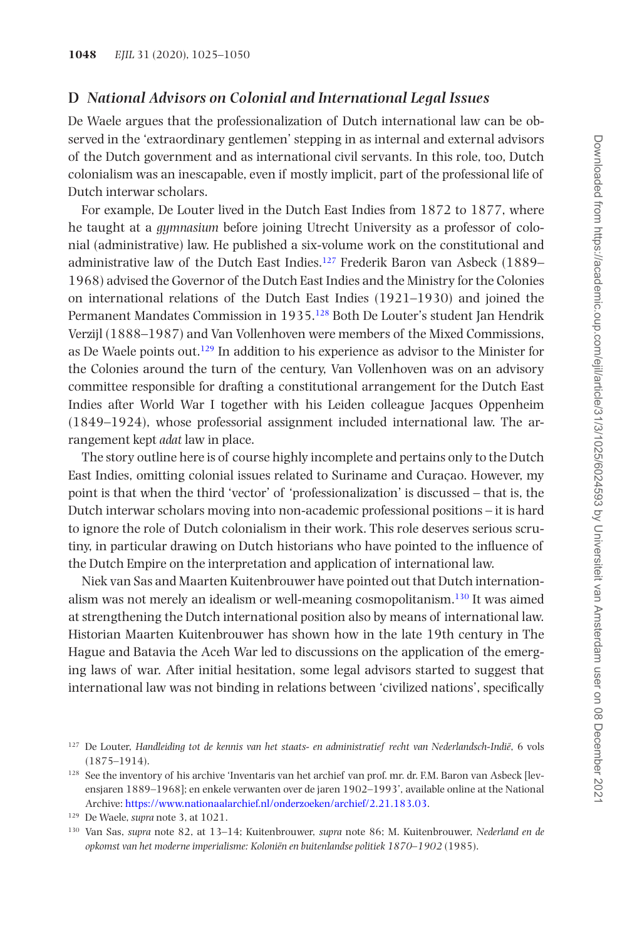#### **D** *National Advisors on Colonial and International Legal Issues*

De Waele argues that the professionalization of Dutch international law can be observed in the 'extraordinary gentlemen' stepping in as internal and external advisors of the Dutch government and as international civil servants. In this role, too, Dutch colonialism was an inescapable, even if mostly implicit, part of the professional life of Dutch interwar scholars.

For example, De Louter lived in the Dutch East Indies from 1872 to 1877, where he taught at a *gymnasium* before joining Utrecht University as a professor of colonial (administrative) law. He published a six-volume work on the constitutional and administrative law of the Dutch East Indies[.127](#page-24-0) Frederik Baron van Asbeck (1889– 1968) advised the Governor of the Dutch East Indies and the Ministry for the Colonies on international relations of the Dutch East Indies (1921–1930) and joined the Permanent Mandates Commission in 1935.[128](#page-24-1) Both De Louter's student Jan Hendrik Verzijl (1888–1987) and Van Vollenhoven were members of the Mixed Commissions, as De Waele points out[.129](#page-24-2) In addition to his experience as advisor to the Minister for the Colonies around the turn of the century, Van Vollenhoven was on an advisory committee responsible for drafting a constitutional arrangement for the Dutch East Indies after World War I together with his Leiden colleague Jacques Oppenheim (1849–1924), whose professorial assignment included international law. The arrangement kept *adat* law in place.

The story outline here is of course highly incomplete and pertains only to the Dutch East Indies, omitting colonial issues related to Suriname and Curaçao. However, my point is that when the third 'vector' of 'professionalization' is discussed – that is, the Dutch interwar scholars moving into non-academic professional positions – it is hard to ignore the role of Dutch colonialism in their work. This role deserves serious scrutiny, in particular drawing on Dutch historians who have pointed to the influence of the Dutch Empire on the interpretation and application of international law.

Niek van Sas and Maarten Kuitenbrouwer have pointed out that Dutch internationalism was not merely an idealism or well-meaning cosmopolitanism[.130](#page-24-3) It was aimed at strengthening the Dutch international position also by means of international law. Historian Maarten Kuitenbrouwer has shown how in the late 19th century in The Hague and Batavia the Aceh War led to discussions on the application of the emerging laws of war. After initial hesitation, some legal advisors started to suggest that international law was not binding in relations between 'civilized nations', specifically

<span id="page-24-0"></span><sup>127</sup> De Louter, *Handleiding tot de kennis van het staats- en administratief recht van Nederlandsch-Indië*, 6 vols (1875–1914).

<span id="page-24-1"></span><sup>128</sup> See the inventory of his archive 'Inventaris van het archief van prof. mr. dr. F.M. Baron van Asbeck [levensjaren 1889–1968]; en enkele verwanten over de jaren 1902–1993', available online at the National Archive: [https://www.nationaalarchief.nl/onderzoeken/archief/2.21.183.03.](https://www.nationaalarchief.nl/onderzoeken/archief/2.21.183.03)

<span id="page-24-2"></span><sup>129</sup> De Waele, *supra* note 3, at 1021.

<span id="page-24-3"></span><sup>130</sup> Van Sas, *supra* note 82, at 13–14; Kuitenbrouwer, *supra* note 86; M. Kuitenbrouwer, *Nederland en de opkomst van het moderne imperialisme: Koloniën en buitenlandse politiek 1870–1902* (1985).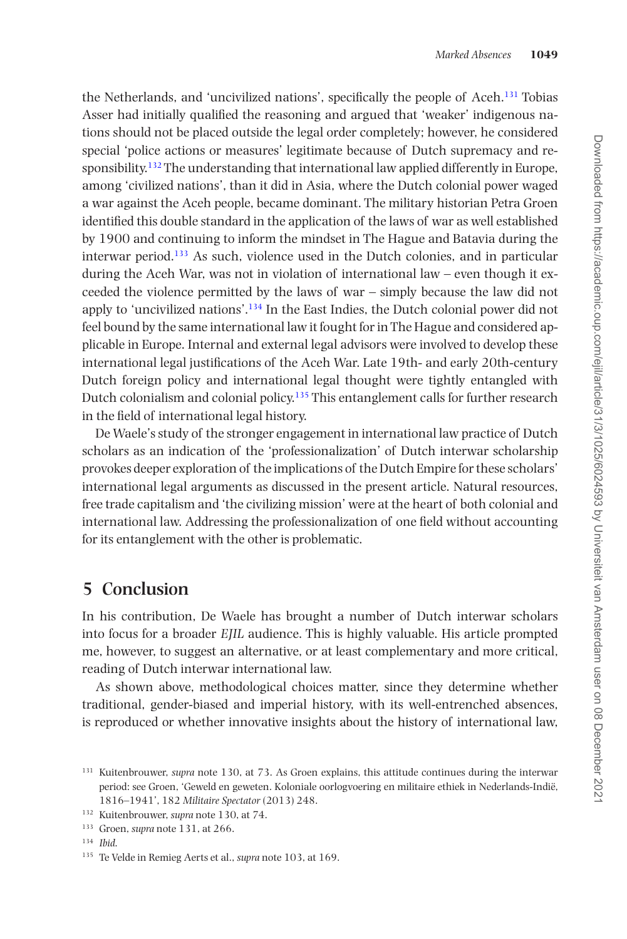the Netherlands, and 'uncivilized nations', specifically the people of Aceh[.131](#page-25-0) Tobias Asser had initially qualified the reasoning and argued that 'weaker' indigenous nations should not be placed outside the legal order completely; however, he considered special 'police actions or measures' legitimate because of Dutch supremacy and responsibility.<sup>132</sup> The understanding that international law applied differently in Europe. among 'civilized nations', than it did in Asia, where the Dutch colonial power waged a war against the Aceh people, became dominant. The military historian Petra Groen identified this double standard in the application of the laws of war as well established by 1900 and continuing to inform the mindset in The Hague and Batavia during the interwar period.[133](#page-25-2) As such, violence used in the Dutch colonies, and in particular during the Aceh War, was not in violation of international law – even though it exceeded the violence permitted by the laws of war – simply because the law did not apply to 'uncivilized nations'.<sup>134</sup> In the East Indies, the Dutch colonial power did not feel bound by the same international law it fought for in The Hague and considered applicable in Europe. Internal and external legal advisors were involved to develop these international legal justifications of the Aceh War. Late 19th- and early 20th-century Dutch foreign policy and international legal thought were tightly entangled with Dutch colonialism and colonial policy[.135](#page-25-4) This entanglement calls for further research in the field of international legal history.

De Waele's study of the stronger engagement in international law practice of Dutch scholars as an indication of the 'professionalization' of Dutch interwar scholarship provokes deeper exploration of the implications of the Dutch Empire for these scholars' international legal arguments as discussed in the present article. Natural resources, free trade capitalism and 'the civilizing mission' were at the heart of both colonial and international law. Addressing the professionalization of one field without accounting for its entanglement with the other is problematic.

## **5 Conclusion**

In his contribution, De Waele has brought a number of Dutch interwar scholars into focus for a broader *EJIL* audience. This is highly valuable. His article prompted me, however, to suggest an alternative, or at least complementary and more critical, reading of Dutch interwar international law.

As shown above, methodological choices matter, since they determine whether traditional, gender-biased and imperial history, with its well-entrenched absences, is reproduced or whether innovative insights about the history of international law,

<span id="page-25-4"></span><sup>135</sup> Te Velde in Remieg Aerts et al., *supra* note 103, at 169.

<span id="page-25-0"></span><sup>&</sup>lt;sup>131</sup> Kuitenbrouwer, *supra* note 130, at 73. As Groen explains, this attitude continues during the interwar period: see Groen, 'Geweld en geweten. Koloniale oorlogvoering en militaire ethiek in Nederlands-Indië, 1816–1941', 182 *Militaire Spectator* (2013) 248.

<span id="page-25-1"></span><sup>132</sup> Kuitenbrouwer, *supra* note 130, at 74.

<span id="page-25-2"></span><sup>133</sup> Groen, *supra* note 131, at 266.

<span id="page-25-3"></span><sup>134</sup> *Ibid*.